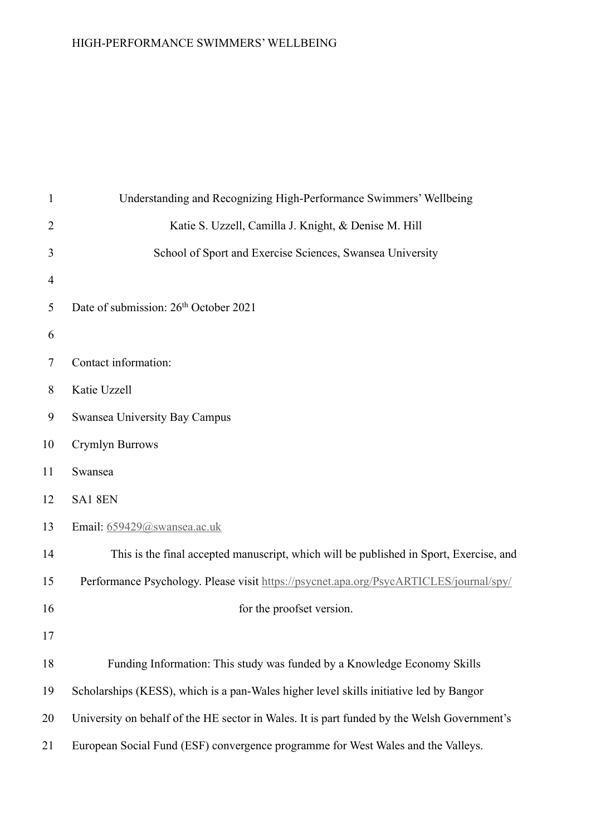| $\mathbf{1}$   | Understanding and Recognizing High-Performance Swimmers' Wellbeing                          |
|----------------|---------------------------------------------------------------------------------------------|
| $\overline{2}$ | Katie S. Uzzell, Camilla J. Knight, & Denise M. Hill                                        |
| 3              | School of Sport and Exercise Sciences, Swansea University                                   |
| 4              |                                                                                             |
| 5              | Date of submission: 26 <sup>th</sup> October 2021                                           |
| 6              |                                                                                             |
| 7              | Contact information:                                                                        |
| 8              | Katie Uzzell                                                                                |
| 9              | Swansea University Bay Campus                                                               |
| 10             | Crymlyn Burrows                                                                             |
| 11             | Swansea                                                                                     |
| 12             | SA1 8EN                                                                                     |
| 13             | Email: 659429@swansea.ac.uk                                                                 |
| 14             | This is the final accepted manuscript, which will be published in Sport, Exercise, and      |
| 15             | Performance Psychology. Please visit https://psycnet.apa.org/PsycARTICLES/journal/spy/      |
| 16             | for the proofset version.                                                                   |
| 17             |                                                                                             |
| 18             | Funding Information: This study was funded by a Knowledge Economy Skills                    |
| 19             | Scholarships (KESS), which is a pan-Wales higher level skills initiative led by Bangor      |
| 20             | University on behalf of the HE sector in Wales. It is part funded by the Welsh Government's |
| 21             | European Social Fund (ESF) convergence programme for West Wales and the Valleys.            |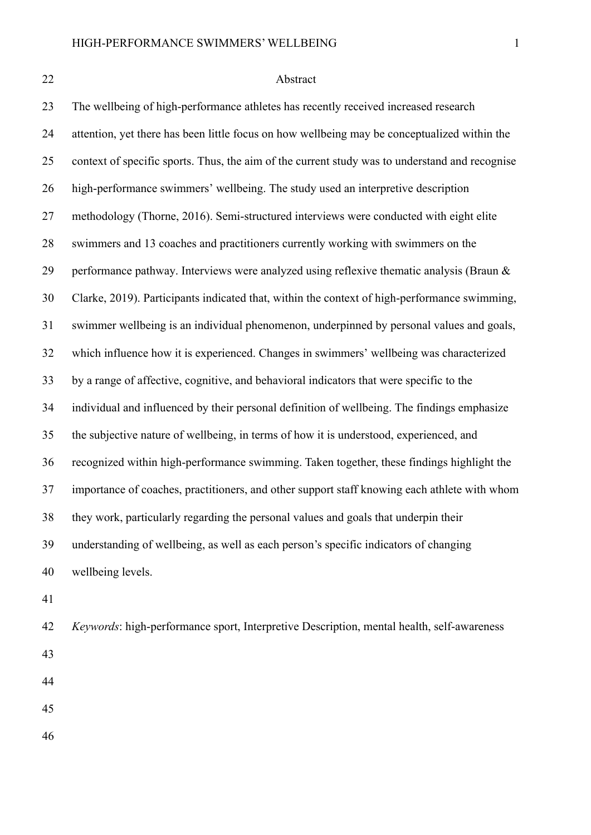#### Abstract

 The wellbeing of high-performance athletes has recently received increased research attention, yet there has been little focus on how wellbeing may be conceptualized within the context of specific sports. Thus, the aim of the current study was to understand and recognise high-performance swimmers' wellbeing. The study used an interpretive description methodology (Thorne, 2016). Semi-structured interviews were conducted with eight elite swimmers and 13 coaches and practitioners currently working with swimmers on the performance pathway. Interviews were analyzed using reflexive thematic analysis (Braun & Clarke, 2019). Participants indicated that, within the context of high-performance swimming, swimmer wellbeing is an individual phenomenon, underpinned by personal values and goals, which influence how it is experienced. Changes in swimmers' wellbeing was characterized by a range of affective, cognitive, and behavioral indicators that were specific to the individual and influenced by their personal definition of wellbeing. The findings emphasize the subjective nature of wellbeing, in terms of how it is understood, experienced, and recognized within high-performance swimming. Taken together, these findings highlight the importance of coaches, practitioners, and other support staff knowing each athlete with whom they work, particularly regarding the personal values and goals that underpin their understanding of wellbeing, as well as each person's specific indicators of changing wellbeing levels.

- 
- *Keywords*: high-performance sport, Interpretive Description, mental health, self-awareness
- 
- 
-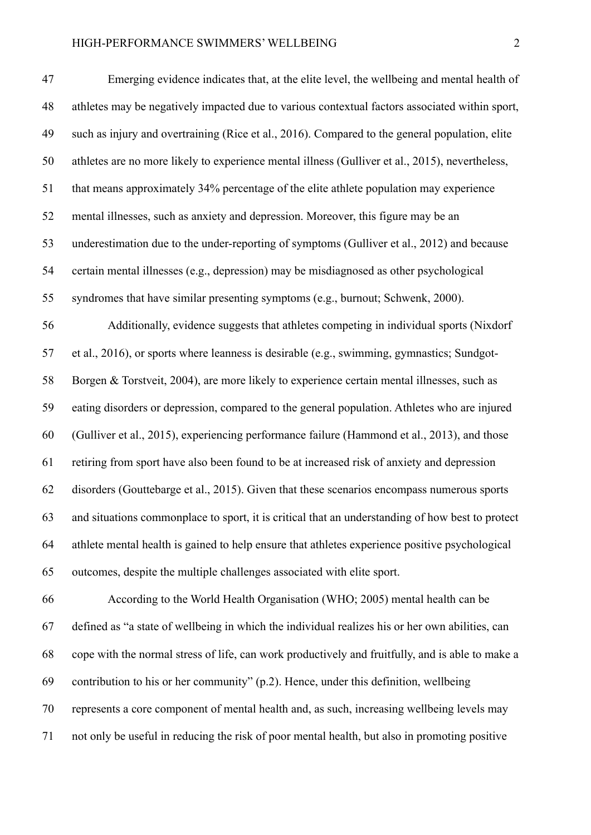| 47 | Emerging evidence indicates that, at the elite level, the wellbeing and mental health of         |
|----|--------------------------------------------------------------------------------------------------|
| 48 | athletes may be negatively impacted due to various contextual factors associated within sport,   |
| 49 | such as injury and overtraining (Rice et al., 2016). Compared to the general population, elite   |
| 50 | athletes are no more likely to experience mental illness (Gulliver et al., 2015), nevertheless,  |
| 51 | that means approximately 34% percentage of the elite athlete population may experience           |
| 52 | mental illnesses, such as anxiety and depression. Moreover, this figure may be an                |
| 53 | underestimation due to the under-reporting of symptoms (Gulliver et al., 2012) and because       |
| 54 | certain mental illnesses (e.g., depression) may be misdiagnosed as other psychological           |
| 55 | syndromes that have similar presenting symptoms (e.g., burnout; Schwenk, 2000).                  |
| 56 | Additionally, evidence suggests that athletes competing in individual sports (Nixdorf            |
| 57 | et al., 2016), or sports where leanness is desirable (e.g., swimming, gymnastics; Sundgot-       |
| 58 | Borgen & Torstveit, 2004), are more likely to experience certain mental illnesses, such as       |
| 59 | eating disorders or depression, compared to the general population. Athletes who are injured     |
| 60 | (Gulliver et al., 2015), experiencing performance failure (Hammond et al., 2013), and those      |
| 61 | retiring from sport have also been found to be at increased risk of anxiety and depression       |
| 62 | disorders (Gouttebarge et al., 2015). Given that these scenarios encompass numerous sports       |
| 63 | and situations commonplace to sport, it is critical that an understanding of how best to protect |
| 64 | athlete mental health is gained to help ensure that athletes experience positive psychological   |
| 65 | outcomes, despite the multiple challenges associated with elite sport.                           |
| 66 | According to the World Health Organisation (WHO; 2005) mental health can be                      |
| 67 | defined as "a state of wellbeing in which the individual realizes his or her own abilities, can  |
| 68 | cope with the normal stress of life, can work productively and fruitfully, and is able to make a |
|    |                                                                                                  |

contribution to his or her community" (p.2). Hence, under this definition, wellbeing

represents a core component of mental health and, as such, increasing wellbeing levels may

not only be useful in reducing the risk of poor mental health, but also in promoting positive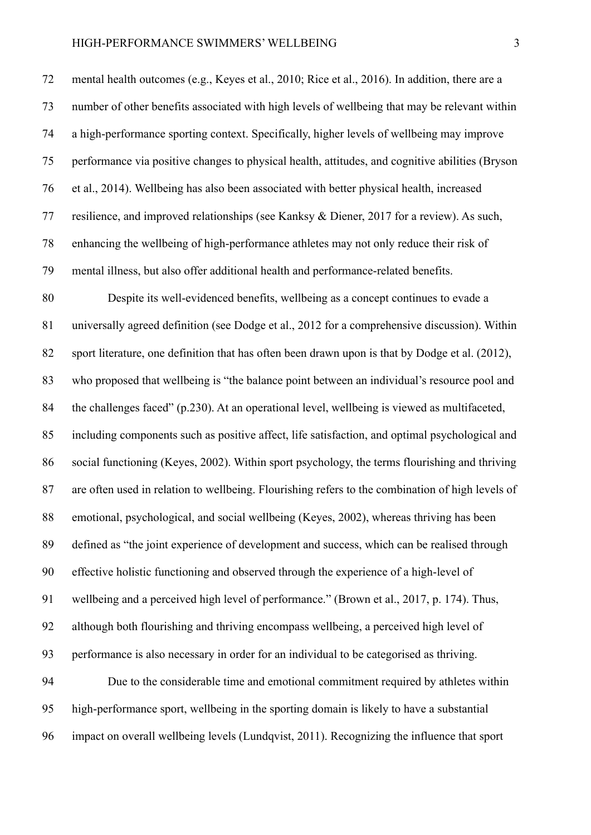mental health outcomes (e.g., Keyes et al., 2010; Rice et al., 2016). In addition, there are a number of other benefits associated with high levels of wellbeing that may be relevant within a high-performance sporting context. Specifically, higher levels of wellbeing may improve performance via positive changes to physical health, attitudes, and cognitive abilities (Bryson et al., 2014). Wellbeing has also been associated with better physical health, increased resilience, and improved relationships (see Kanksy & Diener, 2017 for a review). As such, enhancing the wellbeing of high-performance athletes may not only reduce their risk of mental illness, but also offer additional health and performance-related benefits.

 Despite its well-evidenced benefits, wellbeing as a concept continues to evade a universally agreed definition (see Dodge et al., 2012 for a comprehensive discussion). Within sport literature, one definition that has often been drawn upon is that by Dodge et al. (2012), who proposed that wellbeing is "the balance point between an individual's resource pool and the challenges faced" (p.230). At an operational level, wellbeing is viewed as multifaceted, including components such as positive affect, life satisfaction, and optimal psychological and social functioning (Keyes, 2002). Within sport psychology, the terms flourishing and thriving are often used in relation to wellbeing. Flourishing refers to the combination of high levels of emotional, psychological, and social wellbeing (Keyes, 2002), whereas thriving has been defined as "the joint experience of development and success, which can be realised through effective holistic functioning and observed through the experience of a high-level of wellbeing and a perceived high level of performance." (Brown et al., 2017, p. 174). Thus, although both flourishing and thriving encompass wellbeing, a perceived high level of performance is also necessary in order for an individual to be categorised as thriving. Due to the considerable time and emotional commitment required by athletes within high-performance sport, wellbeing in the sporting domain is likely to have a substantial impact on overall wellbeing levels (Lundqvist, 2011). Recognizing the influence that sport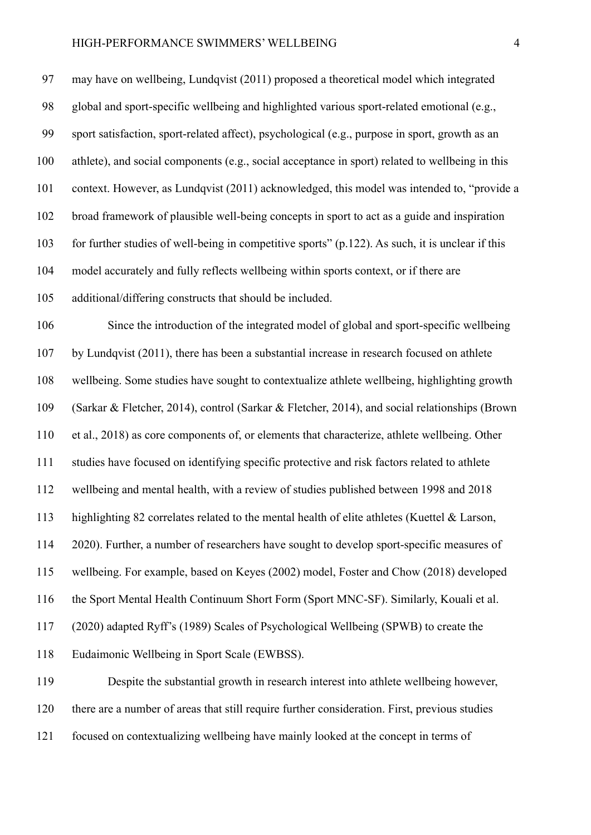may have on wellbeing, Lundqvist (2011) proposed a theoretical model which integrated global and sport-specific wellbeing and highlighted various sport-related emotional (e.g., sport satisfaction, sport-related affect), psychological (e.g., purpose in sport, growth as an athlete), and social components (e.g., social acceptance in sport) related to wellbeing in this context. However, as Lundqvist (2011) acknowledged, this model was intended to, "provide a broad framework of plausible well-being concepts in sport to act as a guide and inspiration for further studies of well-being in competitive sports" (p.122). As such, it is unclear if this model accurately and fully reflects wellbeing within sports context, or if there are additional/differing constructs that should be included. Since the introduction of the integrated model of global and sport-specific wellbeing by Lundqvist (2011), there has been a substantial increase in research focused on athlete wellbeing. Some studies have sought to contextualize athlete wellbeing, highlighting growth (Sarkar & Fletcher, 2014), control (Sarkar & Fletcher, 2014), and social relationships (Brown et al., 2018) as core components of, or elements that characterize, athlete wellbeing. Other studies have focused on identifying specific protective and risk factors related to athlete wellbeing and mental health, with a review of studies published between 1998 and 2018 highlighting 82 correlates related to the mental health of elite athletes (Kuettel & Larson, 2020). Further, a number of researchers have sought to develop sport-specific measures of wellbeing. For example, based on Keyes (2002) model, Foster and Chow (2018) developed the Sport Mental Health Continuum Short Form (Sport MNC-SF). Similarly, Kouali et al. (2020) adapted Ryff's (1989) Scales of Psychological Wellbeing (SPWB) to create the Eudaimonic Wellbeing in Sport Scale (EWBSS). Despite the substantial growth in research interest into athlete wellbeing however, there are a number of areas that still require further consideration. First, previous studies

focused on contextualizing wellbeing have mainly looked at the concept in terms of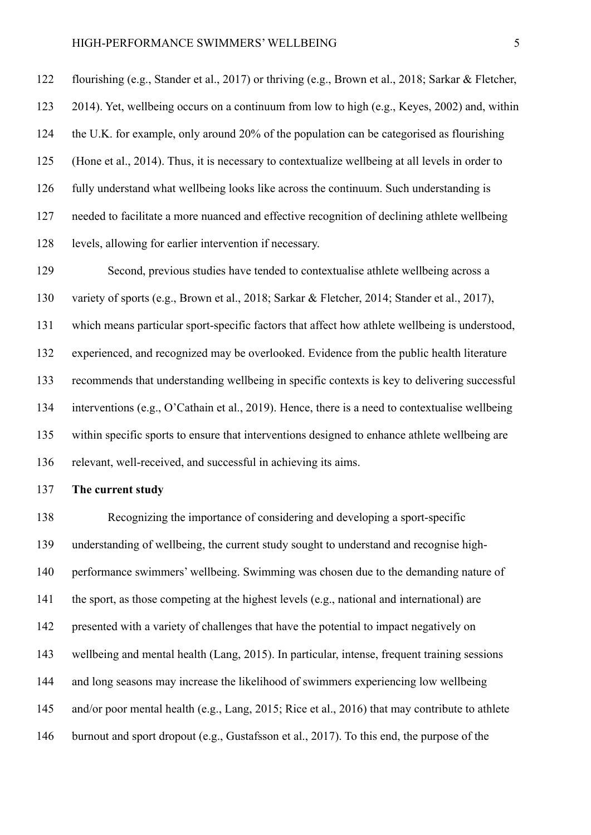flourishing (e.g., Stander et al., 2017) or thriving (e.g., Brown et al., 2018; Sarkar & Fletcher, 2014). Yet, wellbeing occurs on a continuum from low to high (e.g., Keyes, 2002) and, within the U.K. for example, only around 20% of the population can be categorised as flourishing (Hone et al., 2014). Thus, it is necessary to contextualize wellbeing at all levels in order to fully understand what wellbeing looks like across the continuum. Such understanding is needed to facilitate a more nuanced and effective recognition of declining athlete wellbeing levels, allowing for earlier intervention if necessary.

 Second, previous studies have tended to contextualise athlete wellbeing across a variety of sports (e.g., Brown et al., 2018; Sarkar & Fletcher, 2014; Stander et al., 2017), which means particular sport-specific factors that affect how athlete wellbeing is understood, experienced, and recognized may be overlooked. Evidence from the public health literature recommends that understanding wellbeing in specific contexts is key to delivering successful interventions (e.g., O'Cathain et al., 2019). Hence, there is a need to contextualise wellbeing within specific sports to ensure that interventions designed to enhance athlete wellbeing are relevant, well-received, and successful in achieving its aims.

## **The current study**

 Recognizing the importance of considering and developing a sport-specific understanding of wellbeing, the current study sought to understand and recognise high- performance swimmers' wellbeing. Swimming was chosen due to the demanding nature of the sport, as those competing at the highest levels (e.g., national and international) are presented with a variety of challenges that have the potential to impact negatively on wellbeing and mental health (Lang, 2015). In particular, intense, frequent training sessions and long seasons may increase the likelihood of swimmers experiencing low wellbeing and/or poor mental health (e.g., Lang, 2015; Rice et al., 2016) that may contribute to athlete burnout and sport dropout (e.g., Gustafsson et al., 2017). To this end, the purpose of the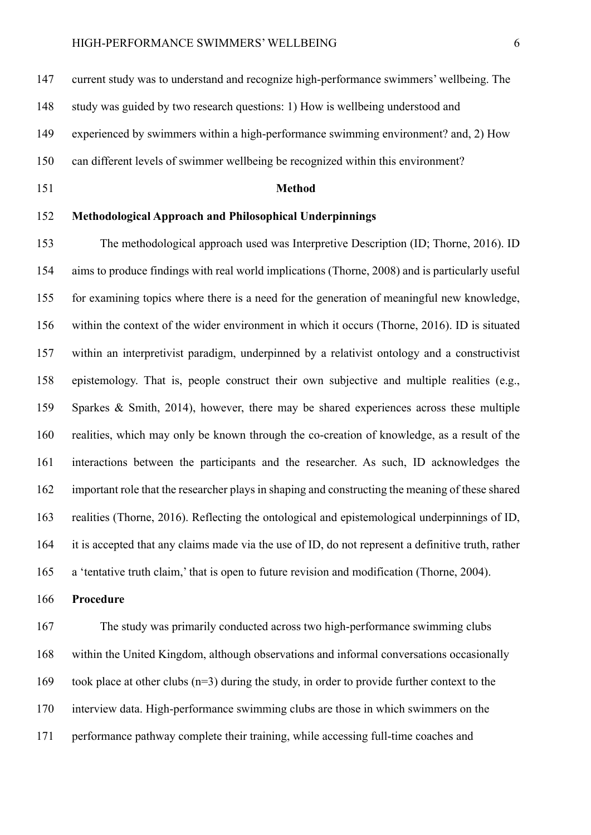current study was to understand and recognize high-performance swimmers' wellbeing. The

study was guided by two research questions: 1) How is wellbeing understood and

experienced by swimmers within a high-performance swimming environment? and, 2) How

can different levels of swimmer wellbeing be recognized within this environment?

#### **Method**

## **Methodological Approach and Philosophical Underpinnings**

 The methodological approach used was Interpretive Description (ID; Thorne, 2016). ID aims to produce findings with real world implications (Thorne, 2008) and is particularly useful for examining topics where there is a need for the generation of meaningful new knowledge, within the context of the wider environment in which it occurs (Thorne, 2016). ID is situated within an interpretivist paradigm, underpinned by a relativist ontology and a constructivist epistemology. That is, people construct their own subjective and multiple realities (e.g., Sparkes & Smith, 2014), however, there may be shared experiences across these multiple realities, which may only be known through the co-creation of knowledge, as a result of the interactions between the participants and the researcher. As such, ID acknowledges the important role that the researcher plays in shaping and constructing the meaning of these shared realities (Thorne, 2016). Reflecting the ontological and epistemological underpinnings of ID, it is accepted that any claims made via the use of ID, do not represent a definitive truth, rather a 'tentative truth claim,' that is open to future revision and modification (Thorne, 2004).

**Procedure**

 The study was primarily conducted across two high-performance swimming clubs within the United Kingdom, although observations and informal conversations occasionally 169 took place at other clubs  $(n=3)$  during the study, in order to provide further context to the interview data. High-performance swimming clubs are those in which swimmers on the performance pathway complete their training, while accessing full-time coaches and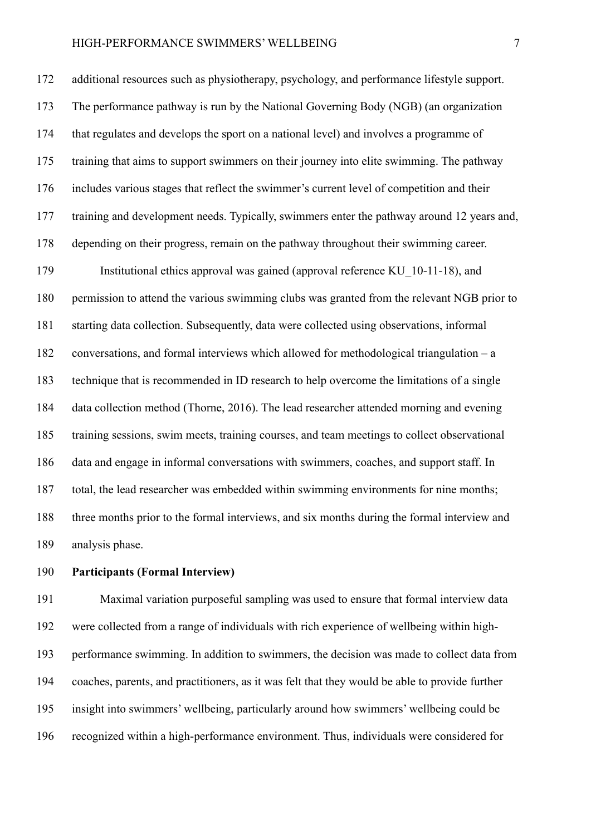additional resources such as physiotherapy, psychology, and performance lifestyle support. The performance pathway is run by the National Governing Body (NGB) (an organization that regulates and develops the sport on a national level) and involves a programme of training that aims to support swimmers on their journey into elite swimming. The pathway includes various stages that reflect the swimmer's current level of competition and their training and development needs. Typically, swimmers enter the pathway around 12 years and, depending on their progress, remain on the pathway throughout their swimming career. Institutional ethics approval was gained (approval reference KU\_10-11-18), and permission to attend the various swimming clubs was granted from the relevant NGB prior to starting data collection. Subsequently, data were collected using observations, informal conversations, and formal interviews which allowed for methodological triangulation – a technique that is recommended in ID research to help overcome the limitations of a single data collection method (Thorne, 2016). The lead researcher attended morning and evening training sessions, swim meets, training courses, and team meetings to collect observational data and engage in informal conversations with swimmers, coaches, and support staff. In total, the lead researcher was embedded within swimming environments for nine months; three months prior to the formal interviews, and six months during the formal interview and analysis phase.

## **Participants (Formal Interview)**

 Maximal variation purposeful sampling was used to ensure that formal interview data were collected from a range of individuals with rich experience of wellbeing within high- performance swimming. In addition to swimmers, the decision was made to collect data from coaches, parents, and practitioners, as it was felt that they would be able to provide further insight into swimmers' wellbeing, particularly around how swimmers' wellbeing could be recognized within a high-performance environment. Thus, individuals were considered for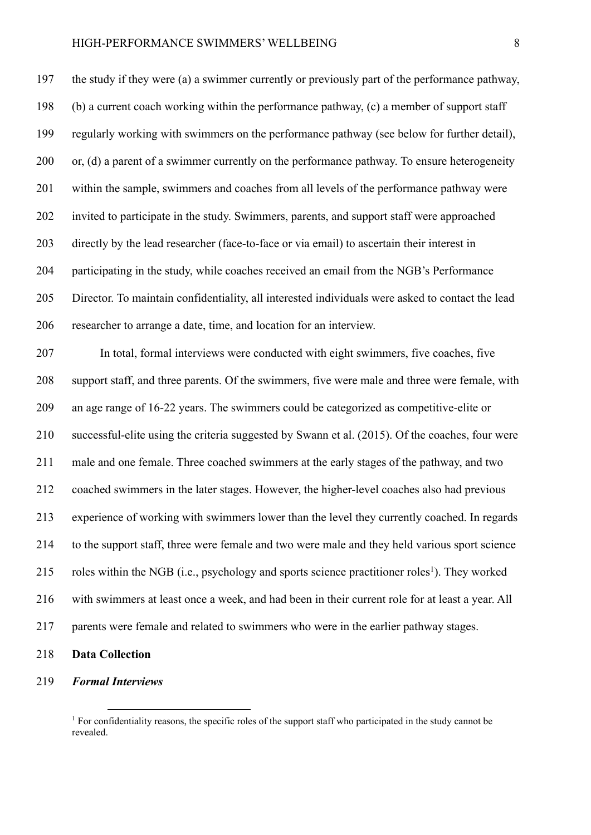the study if they were (a) a swimmer currently or previously part of the performance pathway, (b) a current coach working within the performance pathway, (c) a member of support staff regularly working with swimmers on the performance pathway (see below for further detail), 200 or, (d) a parent of a swimmer currently on the performance pathway. To ensure heterogeneity within the sample, swimmers and coaches from all levels of the performance pathway were invited to participate in the study. Swimmers, parents, and support staff were approached directly by the lead researcher (face-to-face or via email) to ascertain their interest in participating in the study, while coaches received an email from the NGB's Performance Director. To maintain confidentiality, all interested individuals were asked to contact the lead researcher to arrange a date, time, and location for an interview. In total, formal interviews were conducted with eight swimmers, five coaches, five support staff, and three parents. Of the swimmers, five were male and three were female, with an age range of 16-22 years. The swimmers could be categorized as competitive-elite or successful-elite using the criteria suggested by Swann et al. (2015). Of the coaches, four were male and one female. Three coached swimmers at the early stages of the pathway, and two coached swimmers in the later stages. However, the higher-level coaches also had previous experience of working with swimmers lower than the level they currently coached. In regards to the support staff, three were female and two were male and they held various sport science 215 roles within the NGB (i.e., psychology and sports science practitioner roles<sup>1</sup>). They worked with swimmers at least once a week, and had been in their current role for at least a year. All parents were female and related to swimmers who were in the earlier pathway stages.

- **Data Collection**
- *Formal Interviews*

<sup>&</sup>lt;sup>1</sup> For confidentiality reasons, the specific roles of the support staff who participated in the study cannot be revealed.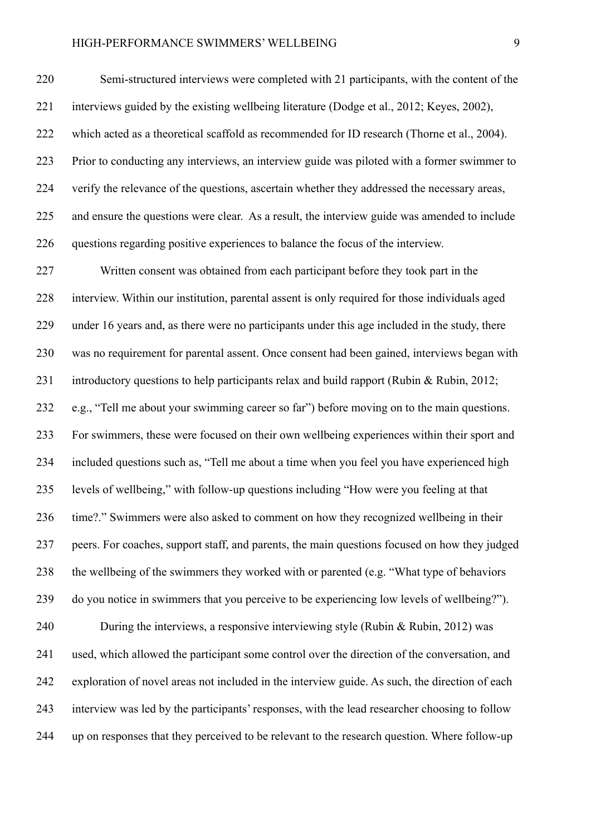Semi-structured interviews were completed with 21 participants, with the content of the interviews guided by the existing wellbeing literature (Dodge et al., 2012; Keyes, 2002), which acted as a theoretical scaffold as recommended for ID research (Thorne et al., 2004). Prior to conducting any interviews, an interview guide was piloted with a former swimmer to verify the relevance of the questions, ascertain whether they addressed the necessary areas, and ensure the questions were clear. As a result, the interview guide was amended to include questions regarding positive experiences to balance the focus of the interview.

 Written consent was obtained from each participant before they took part in the interview. Within our institution, parental assent is only required for those individuals aged under 16 years and, as there were no participants under this age included in the study, there was no requirement for parental assent. Once consent had been gained, interviews began with introductory questions to help participants relax and build rapport (Rubin & Rubin, 2012; e.g., "Tell me about your swimming career so far") before moving on to the main questions. For swimmers, these were focused on their own wellbeing experiences within their sport and included questions such as, "Tell me about a time when you feel you have experienced high levels of wellbeing," with follow-up questions including "How were you feeling at that time?." Swimmers were also asked to comment on how they recognized wellbeing in their peers. For coaches, support staff, and parents, the main questions focused on how they judged the wellbeing of the swimmers they worked with or parented (e.g. "What type of behaviors do you notice in swimmers that you perceive to be experiencing low levels of wellbeing?"). During the interviews, a responsive interviewing style (Rubin & Rubin, 2012) was used, which allowed the participant some control over the direction of the conversation, and exploration of novel areas not included in the interview guide. As such, the direction of each interview was led by the participants' responses, with the lead researcher choosing to follow up on responses that they perceived to be relevant to the research question. Where follow-up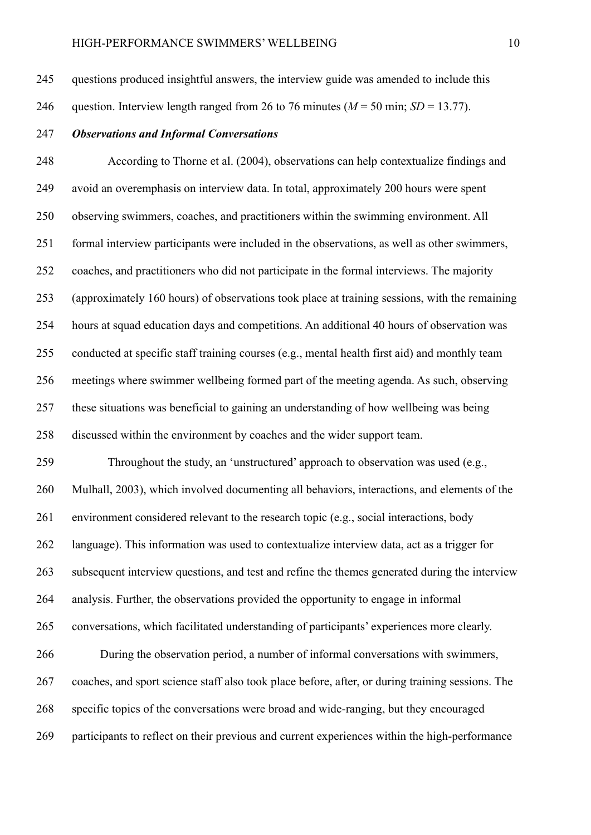questions produced insightful answers, the interview guide was amended to include this

- 246 question. Interview length ranged from 26 to 76 minutes  $(M = 50 \text{ min}; SD = 13.77)$ .
- *Observations and Informal Conversations*

 According to Thorne et al. (2004), observations can help contextualize findings and avoid an overemphasis on interview data. In total, approximately 200 hours were spent observing swimmers, coaches, and practitioners within the swimming environment. All formal interview participants were included in the observations, as well as other swimmers, coaches, and practitioners who did not participate in the formal interviews. The majority (approximately 160 hours) of observations took place at training sessions, with the remaining hours at squad education days and competitions. An additional 40 hours of observation was conducted at specific staff training courses (e.g., mental health first aid) and monthly team meetings where swimmer wellbeing formed part of the meeting agenda. As such, observing these situations was beneficial to gaining an understanding of how wellbeing was being discussed within the environment by coaches and the wider support team.

 Throughout the study, an 'unstructured' approach to observation was used (e.g., Mulhall, 2003), which involved documenting all behaviors, interactions, and elements of the environment considered relevant to the research topic (e.g., social interactions, body language). This information was used to contextualize interview data, act as a trigger for subsequent interview questions, and test and refine the themes generated during the interview analysis. Further, the observations provided the opportunity to engage in informal conversations, which facilitated understanding of participants' experiences more clearly. During the observation period, a number of informal conversations with swimmers, coaches, and sport science staff also took place before, after, or during training sessions. The specific topics of the conversations were broad and wide-ranging, but they encouraged

participants to reflect on their previous and current experiences within the high-performance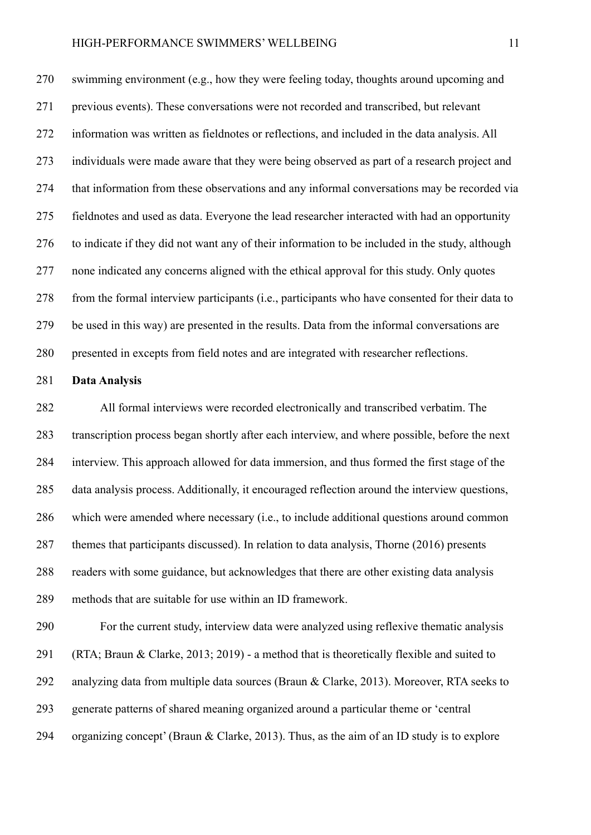swimming environment (e.g., how they were feeling today, thoughts around upcoming and previous events). These conversations were not recorded and transcribed, but relevant information was written as fieldnotes or reflections, and included in the data analysis. All individuals were made aware that they were being observed as part of a research project and that information from these observations and any informal conversations may be recorded via fieldnotes and used as data. Everyone the lead researcher interacted with had an opportunity to indicate if they did not want any of their information to be included in the study, although none indicated any concerns aligned with the ethical approval for this study. Only quotes from the formal interview participants (i.e., participants who have consented for their data to be used in this way) are presented in the results. Data from the informal conversations are presented in excepts from field notes and are integrated with researcher reflections.

## **Data Analysis**

 All formal interviews were recorded electronically and transcribed verbatim. The transcription process began shortly after each interview, and where possible, before the next interview. This approach allowed for data immersion, and thus formed the first stage of the data analysis process. Additionally, it encouraged reflection around the interview questions, which were amended where necessary (i.e., to include additional questions around common 287 themes that participants discussed). In relation to data analysis, Thorne (2016) presents readers with some guidance, but acknowledges that there are other existing data analysis methods that are suitable for use within an ID framework.

 For the current study, interview data were analyzed using reflexive thematic analysis (RTA; Braun & Clarke, 2013; 2019) - a method that is theoretically flexible and suited to analyzing data from multiple data sources (Braun & Clarke, 2013). Moreover, RTA seeks to generate patterns of shared meaning organized around a particular theme or 'central organizing concept' (Braun & Clarke, 2013). Thus, as the aim of an ID study is to explore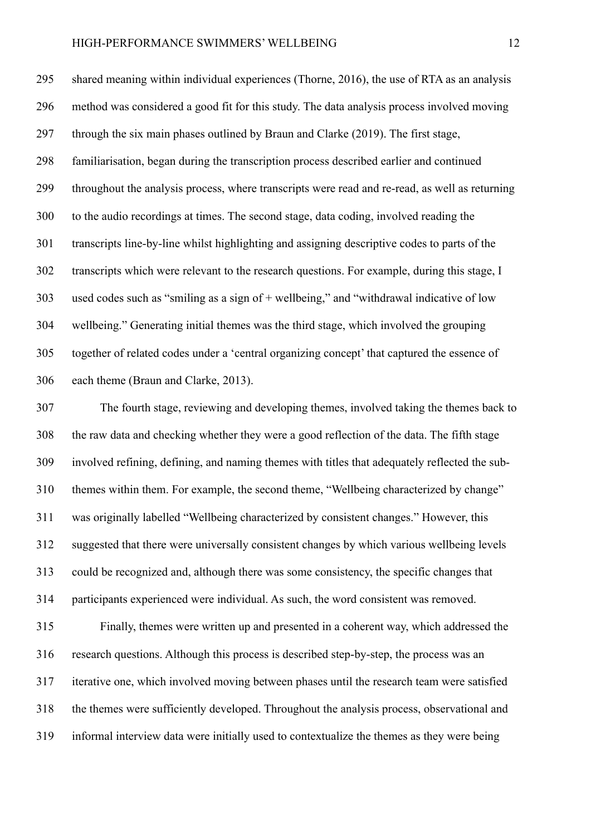shared meaning within individual experiences (Thorne, 2016), the use of RTA as an analysis method was considered a good fit for this study. The data analysis process involved moving through the six main phases outlined by Braun and Clarke (2019). The first stage, familiarisation, began during the transcription process described earlier and continued throughout the analysis process, where transcripts were read and re-read, as well as returning to the audio recordings at times. The second stage, data coding, involved reading the transcripts line-by-line whilst highlighting and assigning descriptive codes to parts of the transcripts which were relevant to the research questions. For example, during this stage, I used codes such as "smiling as a sign of + wellbeing," and "withdrawal indicative of low wellbeing." Generating initial themes was the third stage, which involved the grouping together of related codes under a 'central organizing concept' that captured the essence of each theme (Braun and Clarke, 2013).

 The fourth stage, reviewing and developing themes, involved taking the themes back to the raw data and checking whether they were a good reflection of the data. The fifth stage involved refining, defining, and naming themes with titles that adequately reflected the sub- themes within them. For example, the second theme, "Wellbeing characterized by change" was originally labelled "Wellbeing characterized by consistent changes." However, this suggested that there were universally consistent changes by which various wellbeing levels could be recognized and, although there was some consistency, the specific changes that participants experienced were individual. As such, the word consistent was removed. Finally, themes were written up and presented in a coherent way, which addressed the research questions. Although this process is described step-by-step, the process was an iterative one, which involved moving between phases until the research team were satisfied the themes were sufficiently developed. Throughout the analysis process, observational and informal interview data were initially used to contextualize the themes as they were being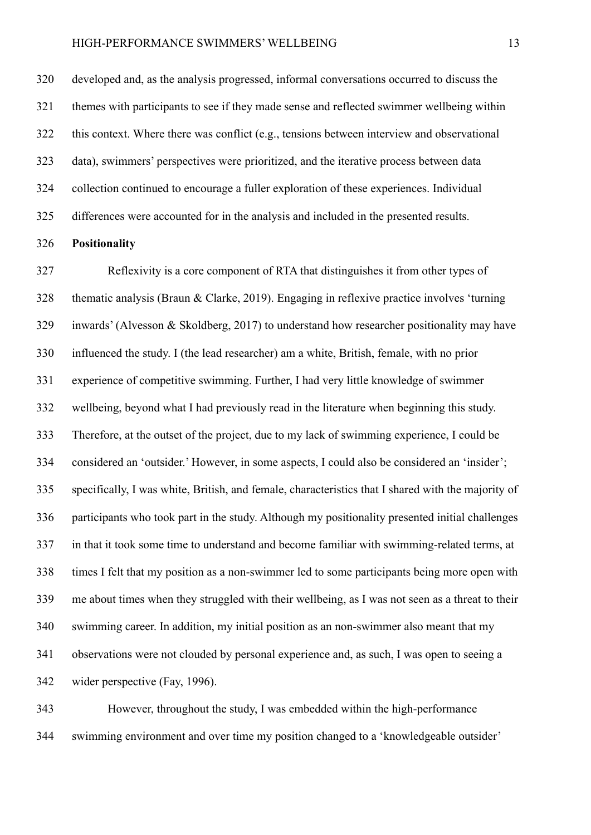developed and, as the analysis progressed, informal conversations occurred to discuss the themes with participants to see if they made sense and reflected swimmer wellbeing within this context. Where there was conflict (e.g., tensions between interview and observational data), swimmers' perspectives were prioritized, and the iterative process between data collection continued to encourage a fuller exploration of these experiences. Individual differences were accounted for in the analysis and included in the presented results.

## **Positionality**

 Reflexivity is a core component of RTA that distinguishes it from other types of thematic analysis (Braun & Clarke, 2019). Engaging in reflexive practice involves 'turning inwards' (Alvesson & Skoldberg, 2017) to understand how researcher positionality may have influenced the study. I (the lead researcher) am a white, British, female, with no prior experience of competitive swimming. Further, I had very little knowledge of swimmer wellbeing, beyond what I had previously read in the literature when beginning this study. Therefore, at the outset of the project, due to my lack of swimming experience, I could be considered an 'outsider.' However, in some aspects, I could also be considered an 'insider'; specifically, I was white, British, and female, characteristics that I shared with the majority of participants who took part in the study. Although my positionality presented initial challenges in that it took some time to understand and become familiar with swimming-related terms, at times I felt that my position as a non-swimmer led to some participants being more open with me about times when they struggled with their wellbeing, as I was not seen as a threat to their swimming career. In addition, my initial position as an non-swimmer also meant that my observations were not clouded by personal experience and, as such, I was open to seeing a wider perspective (Fay, 1996).

 However, throughout the study, I was embedded within the high-performance swimming environment and over time my position changed to a 'knowledgeable outsider'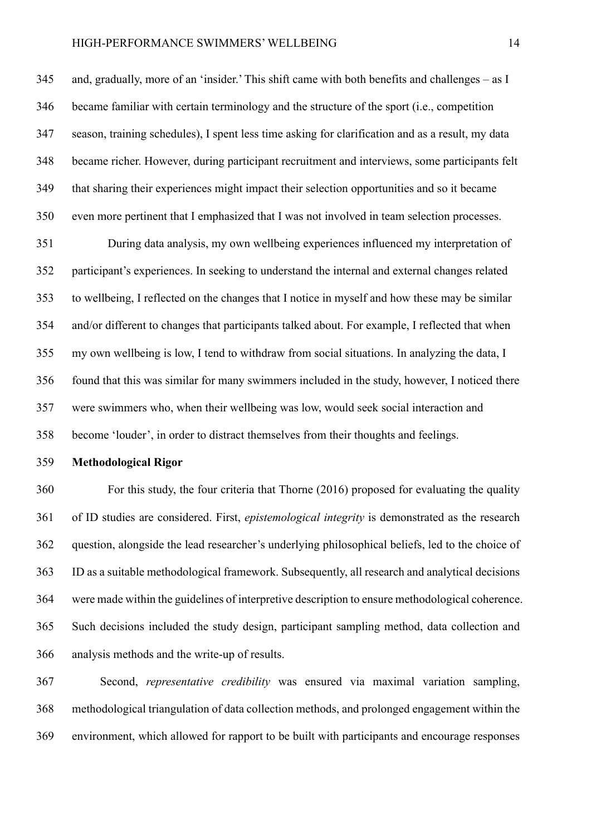and, gradually, more of an 'insider.' This shift came with both benefits and challenges – as I became familiar with certain terminology and the structure of the sport (i.e., competition season, training schedules), I spent less time asking for clarification and as a result, my data became richer. However, during participant recruitment and interviews, some participants felt that sharing their experiences might impact their selection opportunities and so it became even more pertinent that I emphasized that I was not involved in team selection processes.

 During data analysis, my own wellbeing experiences influenced my interpretation of participant's experiences. In seeking to understand the internal and external changes related to wellbeing, I reflected on the changes that I notice in myself and how these may be similar and/or different to changes that participants talked about. For example, I reflected that when my own wellbeing is low, I tend to withdraw from social situations. In analyzing the data, I found that this was similar for many swimmers included in the study, however, I noticed there were swimmers who, when their wellbeing was low, would seek social interaction and become 'louder', in order to distract themselves from their thoughts and feelings.

**Methodological Rigor**

 For this study, the four criteria that Thorne (2016) proposed for evaluating the quality of ID studies are considered. First, *epistemological integrity* is demonstrated as the research question, alongside the lead researcher's underlying philosophical beliefs, led to the choice of ID as a suitable methodological framework. Subsequently, all research and analytical decisions were made within the guidelines of interpretive description to ensure methodological coherence. Such decisions included the study design, participant sampling method, data collection and analysis methods and the write-up of results.

 Second, *representative credibility* was ensured via maximal variation sampling, methodological triangulation of data collection methods, and prolonged engagement within the environment, which allowed for rapport to be built with participants and encourage responses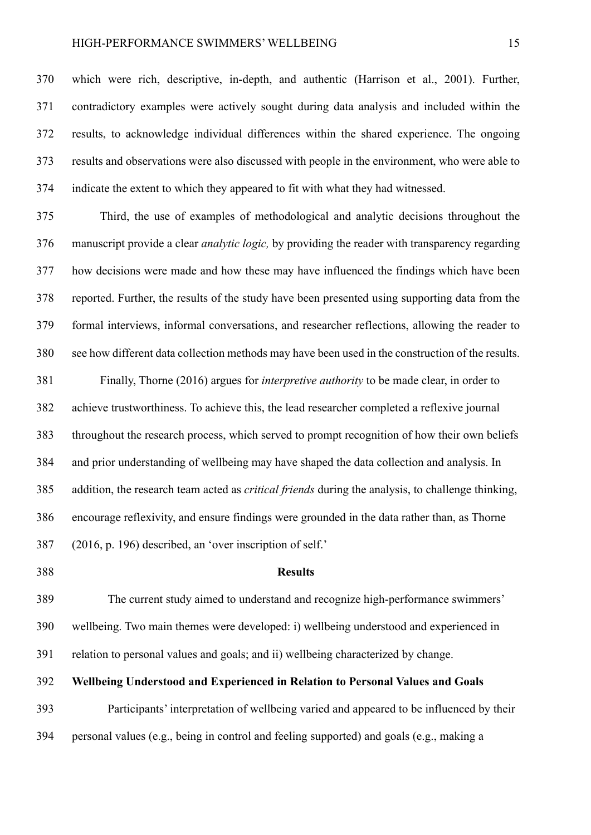which were rich, descriptive, in-depth, and authentic (Harrison et al., 2001). Further, contradictory examples were actively sought during data analysis and included within the results, to acknowledge individual differences within the shared experience. The ongoing results and observations were also discussed with people in the environment, who were able to indicate the extent to which they appeared to fit with what they had witnessed.

 Third, the use of examples of methodological and analytic decisions throughout the manuscript provide a clear *analytic logic,* by providing the reader with transparency regarding how decisions were made and how these may have influenced the findings which have been reported. Further, the results of the study have been presented using supporting data from the formal interviews, informal conversations, and researcher reflections, allowing the reader to see how different data collection methods may have been used in the construction of the results.

 Finally, Thorne (2016) argues for *interpretive authority* to be made clear, in order to achieve trustworthiness. To achieve this, the lead researcher completed a reflexive journal throughout the research process, which served to prompt recognition of how their own beliefs and prior understanding of wellbeing may have shaped the data collection and analysis. In addition, the research team acted as *critical friends* during the analysis, to challenge thinking, encourage reflexivity, and ensure findings were grounded in the data rather than, as Thorne (2016, p. 196) described, an 'over inscription of self.'

#### **Results**

 The current study aimed to understand and recognize high-performance swimmers' wellbeing. Two main themes were developed: i) wellbeing understood and experienced in relation to personal values and goals; and ii) wellbeing characterized by change.

# **Wellbeing Understood and Experienced in Relation to Personal Values and Goals**

 Participants' interpretation of wellbeing varied and appeared to be influenced by their personal values (e.g., being in control and feeling supported) and goals (e.g., making a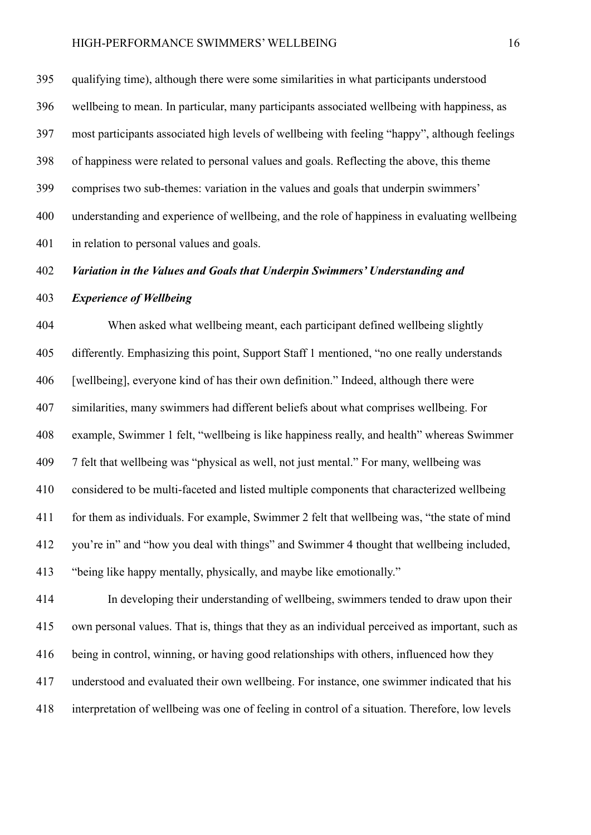qualifying time), although there were some similarities in what participants understood wellbeing to mean. In particular, many participants associated wellbeing with happiness, as most participants associated high levels of wellbeing with feeling "happy", although feelings of happiness were related to personal values and goals. Reflecting the above, this theme comprises two sub-themes: variation in the values and goals that underpin swimmers' understanding and experience of wellbeing, and the role of happiness in evaluating wellbeing in relation to personal values and goals.

## *Variation in the Values and Goals that Underpin Swimmers' Understanding and*

## *Experience of Wellbeing*

 When asked what wellbeing meant, each participant defined wellbeing slightly differently. Emphasizing this point, Support Staff 1 mentioned, "no one really understands [wellbeing], everyone kind of has their own definition." Indeed, although there were similarities, many swimmers had different beliefs about what comprises wellbeing. For example, Swimmer 1 felt, "wellbeing is like happiness really, and health" whereas Swimmer 7 felt that wellbeing was "physical as well, not just mental." For many, wellbeing was considered to be multi-faceted and listed multiple components that characterized wellbeing for them as individuals. For example, Swimmer 2 felt that wellbeing was, "the state of mind you're in" and "how you deal with things" and Swimmer 4 thought that wellbeing included, "being like happy mentally, physically, and maybe like emotionally."

 In developing their understanding of wellbeing, swimmers tended to draw upon their own personal values. That is, things that they as an individual perceived as important, such as being in control, winning, or having good relationships with others, influenced how they understood and evaluated their own wellbeing. For instance, one swimmer indicated that his interpretation of wellbeing was one of feeling in control of a situation. Therefore, low levels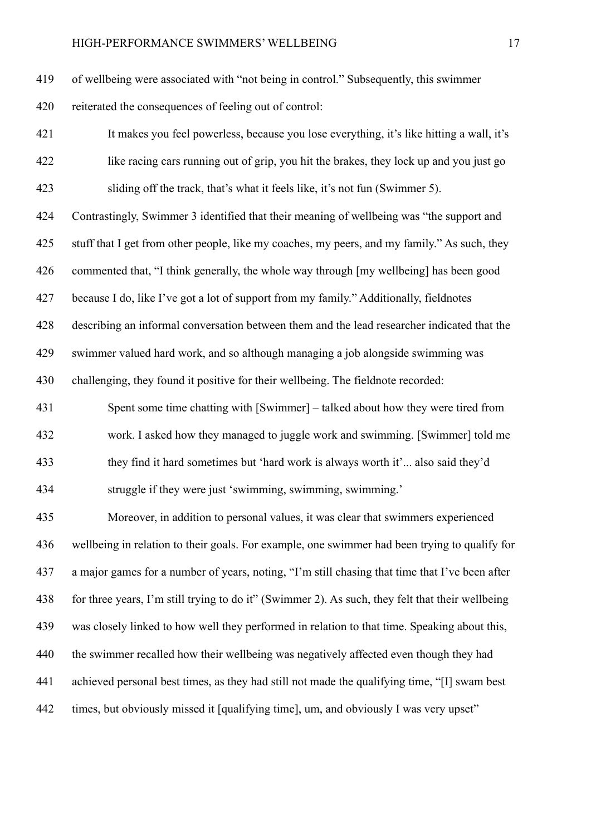of wellbeing were associated with "not being in control." Subsequently, this swimmer reiterated the consequences of feeling out of control:

 It makes you feel powerless, because you lose everything, it's like hitting a wall, it's like racing cars running out of grip, you hit the brakes, they lock up and you just go sliding off the track, that's what it feels like, it's not fun (Swimmer 5).

 Contrastingly, Swimmer 3 identified that their meaning of wellbeing was "the support and stuff that I get from other people, like my coaches, my peers, and my family." As such, they commented that, "I think generally, the whole way through [my wellbeing] has been good because I do, like I've got a lot of support from my family." Additionally, fieldnotes describing an informal conversation between them and the lead researcher indicated that the swimmer valued hard work, and so although managing a job alongside swimming was

challenging, they found it positive for their wellbeing. The fieldnote recorded:

 Spent some time chatting with [Swimmer] – talked about how they were tired from work. I asked how they managed to juggle work and swimming. [Swimmer] told me they find it hard sometimes but 'hard work is always worth it'... also said they'd struggle if they were just 'swimming, swimming, swimming.'

 Moreover, in addition to personal values, it was clear that swimmers experienced wellbeing in relation to their goals. For example, one swimmer had been trying to qualify for a major games for a number of years, noting, "I'm still chasing that time that I've been after for three years, I'm still trying to do it" (Swimmer 2). As such, they felt that their wellbeing was closely linked to how well they performed in relation to that time. Speaking about this, the swimmer recalled how their wellbeing was negatively affected even though they had achieved personal best times, as they had still not made the qualifying time, "[I] swam best times, but obviously missed it [qualifying time], um, and obviously I was very upset"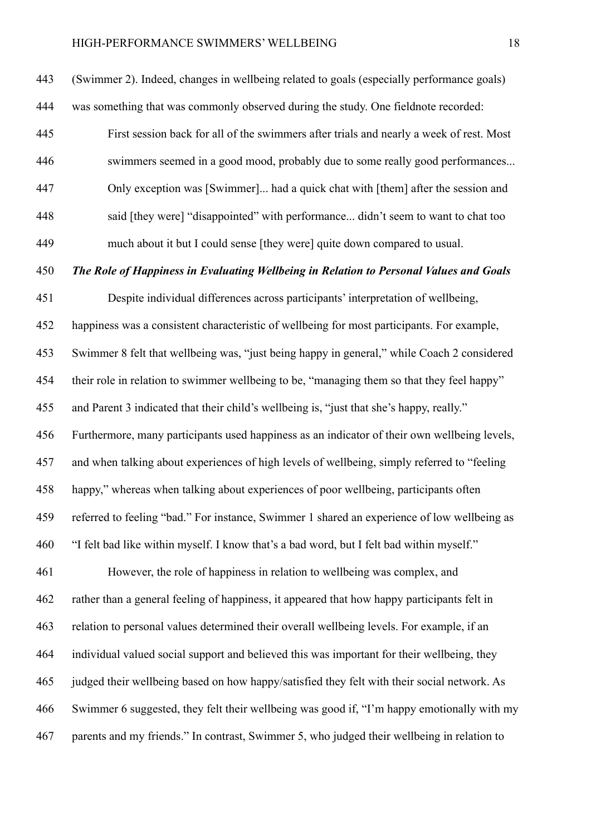(Swimmer 2). Indeed, changes in wellbeing related to goals (especially performance goals) was something that was commonly observed during the study. One fieldnote recorded: First session back for all of the swimmers after trials and nearly a week of rest. Most swimmers seemed in a good mood, probably due to some really good performances... Only exception was [Swimmer]... had a quick chat with [them] after the session and said [they were] "disappointed" with performance... didn't seem to want to chat too much about it but I could sense [they were] quite down compared to usual.

*The Role of Happiness in Evaluating Wellbeing in Relation to Personal Values and Goals*

 Despite individual differences across participants' interpretation of wellbeing, happiness was a consistent characteristic of wellbeing for most participants. For example, Swimmer 8 felt that wellbeing was, "just being happy in general," while Coach 2 considered their role in relation to swimmer wellbeing to be, "managing them so that they feel happy" and Parent 3 indicated that their child's wellbeing is, "just that she's happy, really." Furthermore, many participants used happiness as an indicator of their own wellbeing levels, and when talking about experiences of high levels of wellbeing, simply referred to "feeling happy," whereas when talking about experiences of poor wellbeing, participants often referred to feeling "bad." For instance, Swimmer 1 shared an experience of low wellbeing as "I felt bad like within myself. I know that's a bad word, but I felt bad within myself." However, the role of happiness in relation to wellbeing was complex, and rather than a general feeling of happiness, it appeared that how happy participants felt in relation to personal values determined their overall wellbeing levels. For example, if an individual valued social support and believed this was important for their wellbeing, they judged their wellbeing based on how happy/satisfied they felt with their social network. As Swimmer 6 suggested, they felt their wellbeing was good if, "I'm happy emotionally with my

parents and my friends." In contrast, Swimmer 5, who judged their wellbeing in relation to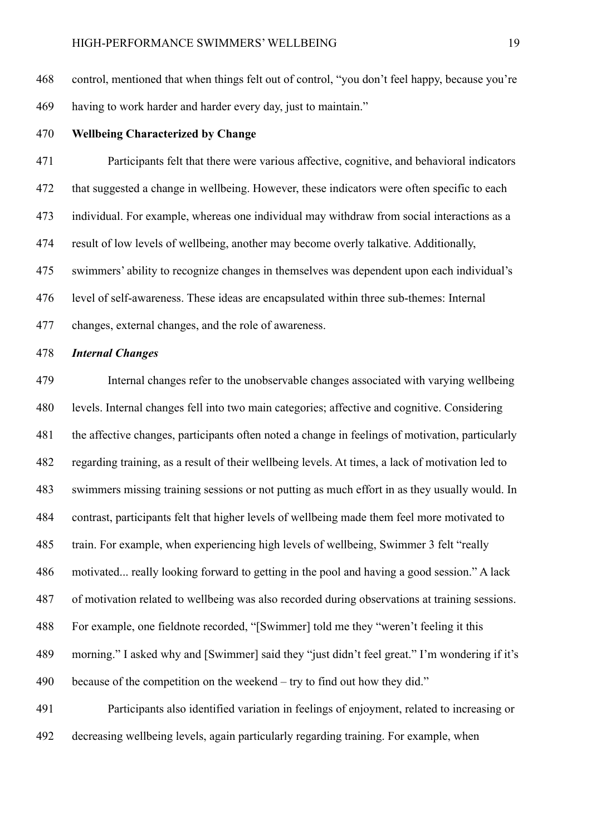control, mentioned that when things felt out of control, "you don't feel happy, because you're having to work harder and harder every day, just to maintain."

**Wellbeing Characterized by Change**

 Participants felt that there were various affective, cognitive, and behavioral indicators that suggested a change in wellbeing. However, these indicators were often specific to each individual. For example, whereas one individual may withdraw from social interactions as a result of low levels of wellbeing, another may become overly talkative. Additionally, swimmers' ability to recognize changes in themselves was dependent upon each individual's level of self-awareness. These ideas are encapsulated within three sub-themes: Internal changes, external changes, and the role of awareness.

## *Internal Changes*

 Internal changes refer to the unobservable changes associated with varying wellbeing levels. Internal changes fell into two main categories; affective and cognitive. Considering the affective changes, participants often noted a change in feelings of motivation, particularly regarding training, as a result of their wellbeing levels. At times, a lack of motivation led to swimmers missing training sessions or not putting as much effort in as they usually would. In contrast, participants felt that higher levels of wellbeing made them feel more motivated to train. For example, when experiencing high levels of wellbeing, Swimmer 3 felt "really motivated... really looking forward to getting in the pool and having a good session." A lack of motivation related to wellbeing was also recorded during observations at training sessions. For example, one fieldnote recorded, "[Swimmer] told me they "weren't feeling it this morning." I asked why and [Swimmer] said they "just didn't feel great." I'm wondering if it's because of the competition on the weekend – try to find out how they did." Participants also identified variation in feelings of enjoyment, related to increasing or

decreasing wellbeing levels, again particularly regarding training. For example, when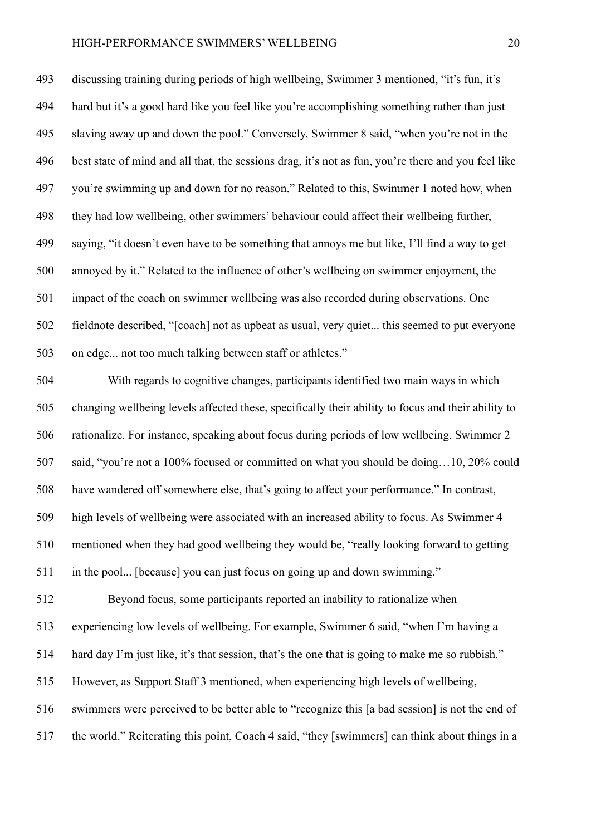discussing training during periods of high wellbeing, Swimmer 3 mentioned, "it's fun, it's hard but it's a good hard like you feel like you're accomplishing something rather than just slaving away up and down the pool." Conversely, Swimmer 8 said, "when you're not in the best state of mind and all that, the sessions drag, it's not as fun, you're there and you feel like you're swimming up and down for no reason." Related to this, Swimmer 1 noted how, when they had low wellbeing, other swimmers' behaviour could affect their wellbeing further, saying, "it doesn't even have to be something that annoys me but like, I'll find a way to get annoyed by it." Related to the influence of other's wellbeing on swimmer enjoyment, the impact of the coach on swimmer wellbeing was also recorded during observations. One fieldnote described, "[coach] not as upbeat as usual, very quiet... this seemed to put everyone on edge... not too much talking between staff or athletes."

 With regards to cognitive changes, participants identified two main ways in which changing wellbeing levels affected these, specifically their ability to focus and their ability to rationalize. For instance, speaking about focus during periods of low wellbeing, Swimmer 2 said, "you're not a 100% focused or committed on what you should be doing…10, 20% could have wandered off somewhere else, that's going to affect your performance." In contrast, high levels of wellbeing were associated with an increased ability to focus. As Swimmer 4 mentioned when they had good wellbeing they would be, "really looking forward to getting in the pool... [because] you can just focus on going up and down swimming." Beyond focus, some participants reported an inability to rationalize when experiencing low levels of wellbeing. For example, Swimmer 6 said, "when I'm having a hard day I'm just like, it's that session, that's the one that is going to make me so rubbish." However, as Support Staff 3 mentioned, when experiencing high levels of wellbeing, swimmers were perceived to be better able to "recognize this [a bad session] is not the end of

the world." Reiterating this point, Coach 4 said, "they [swimmers] can think about things in a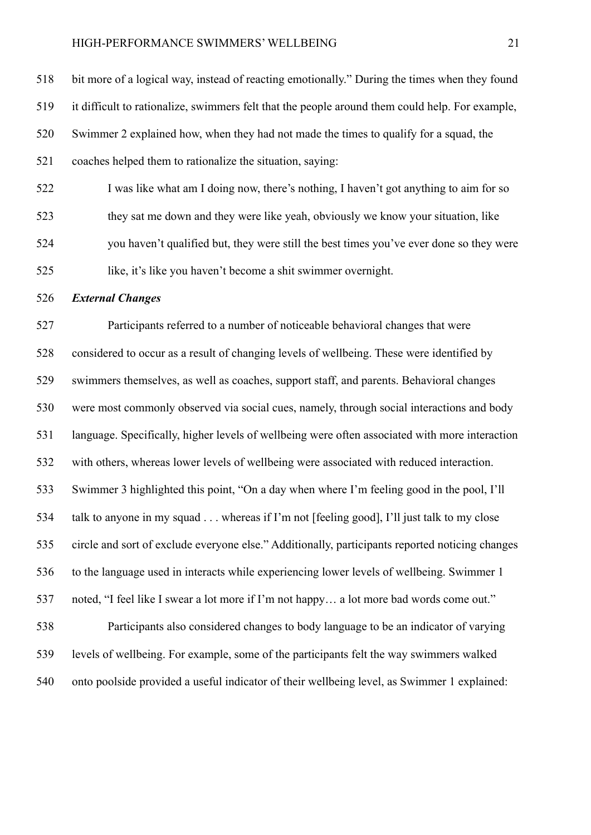bit more of a logical way, instead of reacting emotionally." During the times when they found it difficult to rationalize, swimmers felt that the people around them could help. For example, Swimmer 2 explained how, when they had not made the times to qualify for a squad, the coaches helped them to rationalize the situation, saying: I was like what am I doing now, there's nothing, I haven't got anything to aim for so

 they sat me down and they were like yeah, obviously we know your situation, like you haven't qualified but, they were still the best times you've ever done so they were like, it's like you haven't become a shit swimmer overnight.

## *External Changes*

 Participants referred to a number of noticeable behavioral changes that were considered to occur as a result of changing levels of wellbeing. These were identified by swimmers themselves, as well as coaches, support staff, and parents. Behavioral changes were most commonly observed via social cues, namely, through social interactions and body language. Specifically, higher levels of wellbeing were often associated with more interaction with others, whereas lower levels of wellbeing were associated with reduced interaction. Swimmer 3 highlighted this point, "On a day when where I'm feeling good in the pool, I'll talk to anyone in my squad . . . whereas if I'm not [feeling good], I'll just talk to my close circle and sort of exclude everyone else." Additionally, participants reported noticing changes to the language used in interacts while experiencing lower levels of wellbeing. Swimmer 1 noted, "I feel like I swear a lot more if I'm not happy… a lot more bad words come out." Participants also considered changes to body language to be an indicator of varying levels of wellbeing. For example, some of the participants felt the way swimmers walked onto poolside provided a useful indicator of their wellbeing level, as Swimmer 1 explained: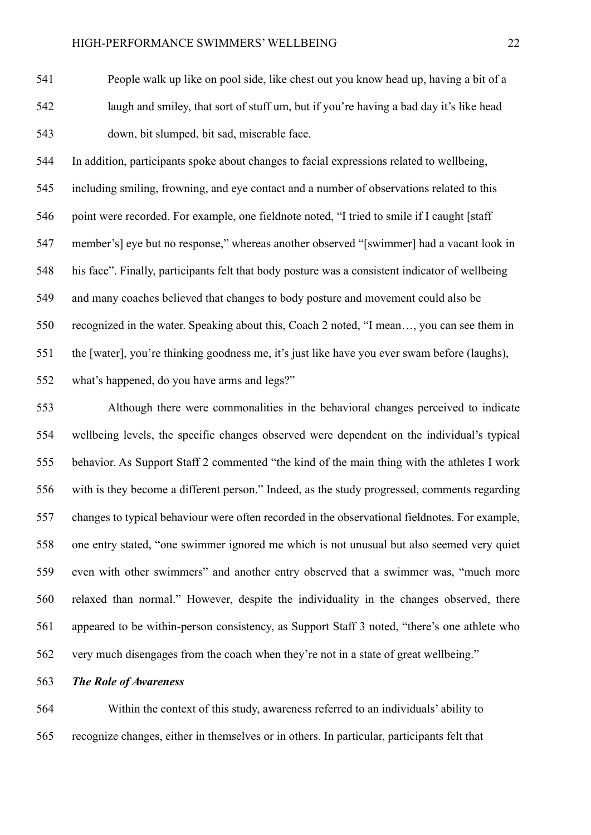People walk up like on pool side, like chest out you know head up, having a bit of a laugh and smiley, that sort of stuff um, but if you're having a bad day it's like head down, bit slumped, bit sad, miserable face.

 In addition, participants spoke about changes to facial expressions related to wellbeing, including smiling, frowning, and eye contact and a number of observations related to this 546 point were recorded. For example, one fieldnote noted, "I tried to smile if I caught [staff] member's] eye but no response," whereas another observed "[swimmer] had a vacant look in his face". Finally, participants felt that body posture was a consistent indicator of wellbeing and many coaches believed that changes to body posture and movement could also be recognized in the water. Speaking about this, Coach 2 noted, "I mean…, you can see them in the [water], you're thinking goodness me, it's just like have you ever swam before (laughs), what's happened, do you have arms and legs?"

 Although there were commonalities in the behavioral changes perceived to indicate wellbeing levels, the specific changes observed were dependent on the individual's typical behavior. As Support Staff 2 commented "the kind of the main thing with the athletes I work with is they become a different person." Indeed, as the study progressed, comments regarding changes to typical behaviour were often recorded in the observational fieldnotes. For example, one entry stated, "one swimmer ignored me which is not unusual but also seemed very quiet even with other swimmers" and another entry observed that a swimmer was, "much more relaxed than normal." However, despite the individuality in the changes observed, there appeared to be within-person consistency, as Support Staff 3 noted, "there's one athlete who very much disengages from the coach when they're not in a state of great wellbeing."

# *The Role of Awareness*

 Within the context of this study, awareness referred to an individuals' ability to recognize changes, either in themselves or in others. In particular, participants felt that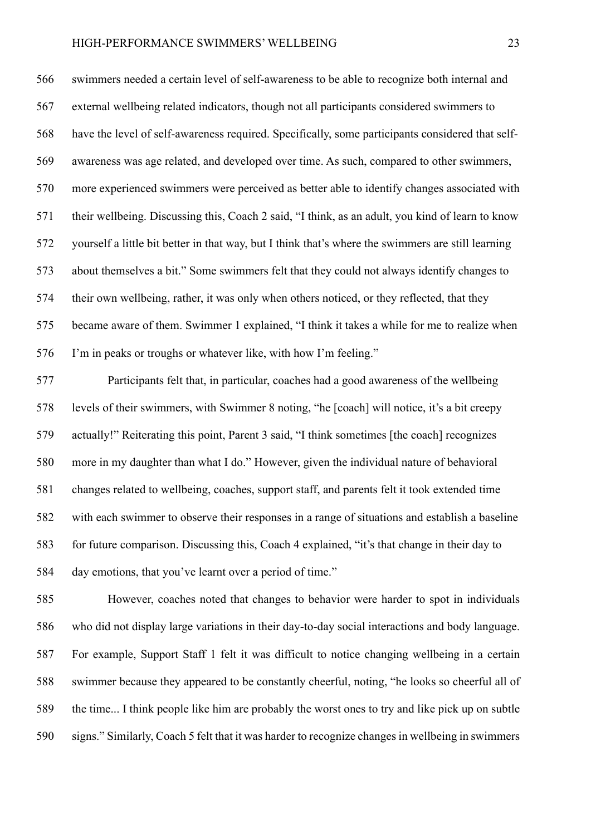swimmers needed a certain level of self-awareness to be able to recognize both internal and external wellbeing related indicators, though not all participants considered swimmers to have the level of self-awareness required. Specifically, some participants considered that self- awareness was age related, and developed over time. As such, compared to other swimmers, more experienced swimmers were perceived as better able to identify changes associated with their wellbeing. Discussing this, Coach 2 said, "I think, as an adult, you kind of learn to know yourself a little bit better in that way, but I think that's where the swimmers are still learning about themselves a bit." Some swimmers felt that they could not always identify changes to their own wellbeing, rather, it was only when others noticed, or they reflected, that they became aware of them. Swimmer 1 explained, "I think it takes a while for me to realize when I'm in peaks or troughs or whatever like, with how I'm feeling."

 Participants felt that, in particular, coaches had a good awareness of the wellbeing levels of their swimmers, with Swimmer 8 noting, "he [coach] will notice, it's a bit creepy actually!" Reiterating this point, Parent 3 said, "I think sometimes [the coach] recognizes more in my daughter than what I do." However, given the individual nature of behavioral changes related to wellbeing, coaches, support staff, and parents felt it took extended time with each swimmer to observe their responses in a range of situations and establish a baseline for future comparison. Discussing this, Coach 4 explained, "it's that change in their day to day emotions, that you've learnt over a period of time."

 However, coaches noted that changes to behavior were harder to spot in individuals who did not display large variations in their day-to-day social interactions and body language. For example, Support Staff 1 felt it was difficult to notice changing wellbeing in a certain swimmer because they appeared to be constantly cheerful, noting, "he looks so cheerful all of the time... I think people like him are probably the worst ones to try and like pick up on subtle signs." Similarly, Coach 5 felt that it was harder to recognize changes in wellbeing in swimmers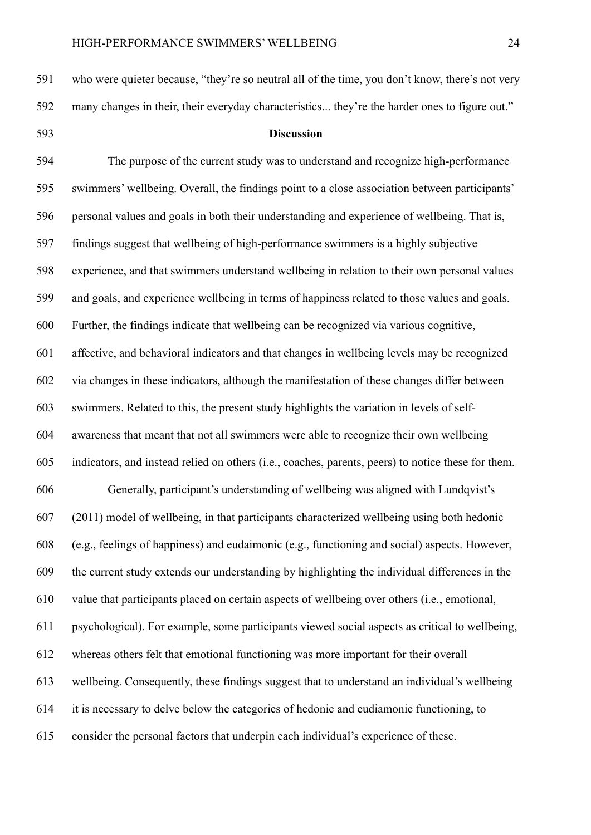The purpose of the current study was to understand and recognize high-performance swimmers' wellbeing. Overall, the findings point to a close association between participants' personal values and goals in both their understanding and experience of wellbeing. That is, findings suggest that wellbeing of high-performance swimmers is a highly subjective experience, and that swimmers understand wellbeing in relation to their own personal values and goals, and experience wellbeing in terms of happiness related to those values and goals. Further, the findings indicate that wellbeing can be recognized via various cognitive, affective, and behavioral indicators and that changes in wellbeing levels may be recognized via changes in these indicators, although the manifestation of these changes differ between swimmers. Related to this, the present study highlights the variation in levels of self- awareness that meant that not all swimmers were able to recognize their own wellbeing indicators, and instead relied on others (i.e., coaches, parents, peers) to notice these for them. Generally, participant's understanding of wellbeing was aligned with Lundqvist's (2011) model of wellbeing, in that participants characterized wellbeing using both hedonic (e.g., feelings of happiness) and eudaimonic (e.g., functioning and social) aspects. However, the current study extends our understanding by highlighting the individual differences in the value that participants placed on certain aspects of wellbeing over others (i.e., emotional, psychological). For example, some participants viewed social aspects as critical to wellbeing, whereas others felt that emotional functioning was more important for their overall wellbeing. Consequently, these findings suggest that to understand an individual's wellbeing it is necessary to delve below the categories of hedonic and eudiamonic functioning, to consider the personal factors that underpin each individual's experience of these.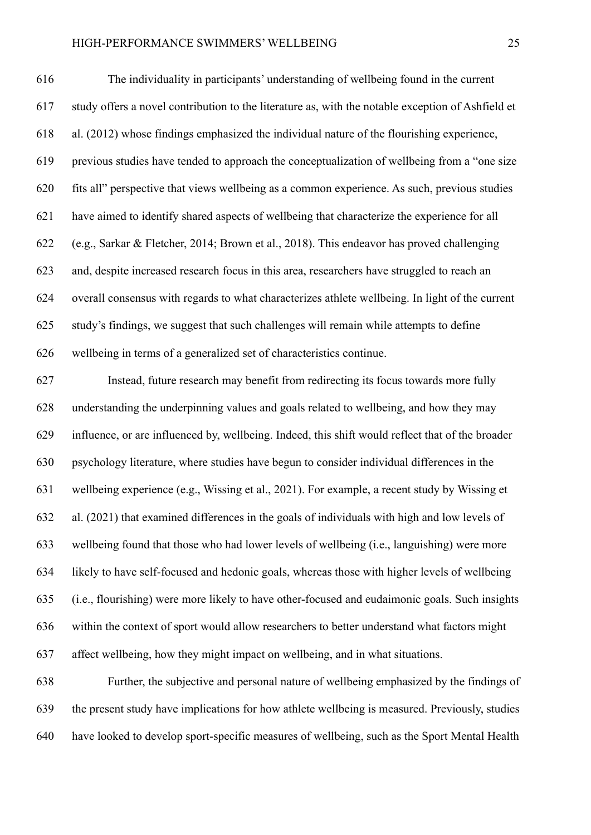The individuality in participants' understanding of wellbeing found in the current study offers a novel contribution to the literature as, with the notable exception of Ashfield et al. (2012) whose findings emphasized the individual nature of the flourishing experience, previous studies have tended to approach the conceptualization of wellbeing from a "one size fits all" perspective that views wellbeing as a common experience. As such, previous studies have aimed to identify shared aspects of wellbeing that characterize the experience for all (e.g., Sarkar & Fletcher, 2014; Brown et al., 2018). This endeavor has proved challenging and, despite increased research focus in this area, researchers have struggled to reach an overall consensus with regards to what characterizes athlete wellbeing. In light of the current study's findings, we suggest that such challenges will remain while attempts to define wellbeing in terms of a generalized set of characteristics continue.

 Instead, future research may benefit from redirecting its focus towards more fully understanding the underpinning values and goals related to wellbeing, and how they may influence, or are influenced by, wellbeing. Indeed, this shift would reflect that of the broader psychology literature, where studies have begun to consider individual differences in the wellbeing experience (e.g., Wissing et al., 2021). For example, a recent study by Wissing et al. (2021) that examined differences in the goals of individuals with high and low levels of wellbeing found that those who had lower levels of wellbeing (i.e., languishing) were more likely to have self-focused and hedonic goals, whereas those with higher levels of wellbeing (i.e., flourishing) were more likely to have other-focused and eudaimonic goals. Such insights within the context of sport would allow researchers to better understand what factors might affect wellbeing, how they might impact on wellbeing, and in what situations.

 Further, the subjective and personal nature of wellbeing emphasized by the findings of the present study have implications for how athlete wellbeing is measured. Previously, studies have looked to develop sport-specific measures of wellbeing, such as the Sport Mental Health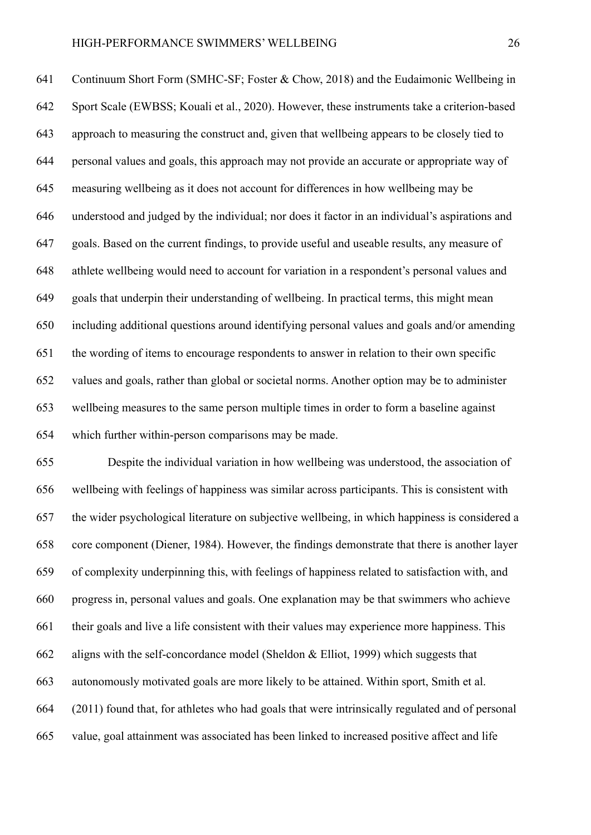Continuum Short Form (SMHC-SF; Foster & Chow, 2018) and the Eudaimonic Wellbeing in Sport Scale (EWBSS; Kouali et al., 2020). However, these instruments take a criterion-based approach to measuring the construct and, given that wellbeing appears to be closely tied to personal values and goals, this approach may not provide an accurate or appropriate way of measuring wellbeing as it does not account for differences in how wellbeing may be understood and judged by the individual; nor does it factor in an individual's aspirations and goals. Based on the current findings, to provide useful and useable results, any measure of athlete wellbeing would need to account for variation in a respondent's personal values and goals that underpin their understanding of wellbeing. In practical terms, this might mean including additional questions around identifying personal values and goals and/or amending the wording of items to encourage respondents to answer in relation to their own specific values and goals, rather than global or societal norms. Another option may be to administer wellbeing measures to the same person multiple times in order to form a baseline against which further within-person comparisons may be made.

 Despite the individual variation in how wellbeing was understood, the association of wellbeing with feelings of happiness was similar across participants. This is consistent with the wider psychological literature on subjective wellbeing, in which happiness is considered a core component (Diener, 1984). However, the findings demonstrate that there is another layer of complexity underpinning this, with feelings of happiness related to satisfaction with, and progress in, personal values and goals. One explanation may be that swimmers who achieve their goals and live a life consistent with their values may experience more happiness. This aligns with the self-concordance model (Sheldon & Elliot, 1999) which suggests that autonomously motivated goals are more likely to be attained. Within sport, Smith et al. (2011) found that, for athletes who had goals that were intrinsically regulated and of personal value, goal attainment was associated has been linked to increased positive affect and life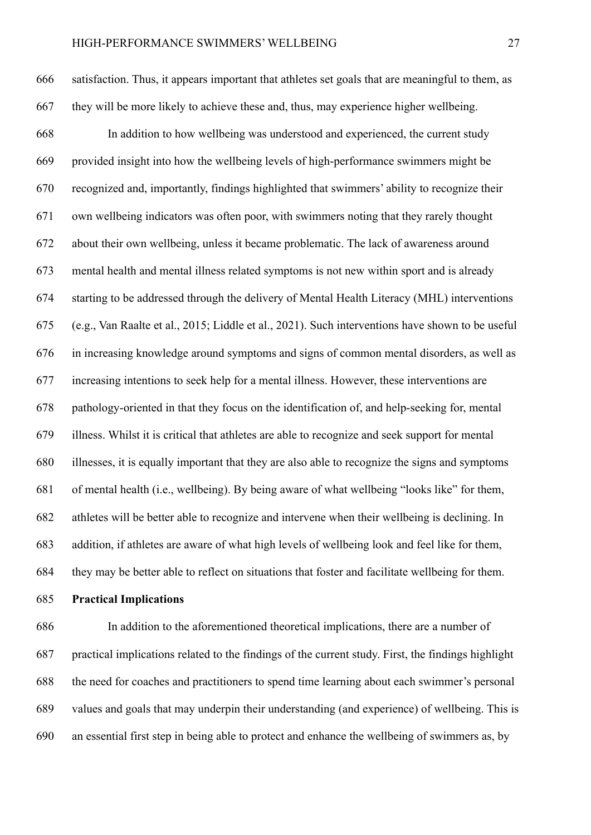satisfaction. Thus, it appears important that athletes set goals that are meaningful to them, as they will be more likely to achieve these and, thus, may experience higher wellbeing. In addition to how wellbeing was understood and experienced, the current study provided insight into how the wellbeing levels of high-performance swimmers might be recognized and, importantly, findings highlighted that swimmers' ability to recognize their own wellbeing indicators was often poor, with swimmers noting that they rarely thought about their own wellbeing, unless it became problematic. The lack of awareness around mental health and mental illness related symptoms is not new within sport and is already starting to be addressed through the delivery of Mental Health Literacy (MHL) interventions (e.g., Van Raalte et al., 2015; Liddle et al., 2021). Such interventions have shown to be useful in increasing knowledge around symptoms and signs of common mental disorders, as well as increasing intentions to seek help for a mental illness. However, these interventions are pathology-oriented in that they focus on the identification of, and help-seeking for, mental illness. Whilst it is critical that athletes are able to recognize and seek support for mental illnesses, it is equally important that they are also able to recognize the signs and symptoms of mental health (i.e., wellbeing). By being aware of what wellbeing "looks like" for them, athletes will be better able to recognize and intervene when their wellbeing is declining. In addition, if athletes are aware of what high levels of wellbeing look and feel like for them, they may be better able to reflect on situations that foster and facilitate wellbeing for them.

**Practical Implications**

 In addition to the aforementioned theoretical implications, there are a number of practical implications related to the findings of the current study. First, the findings highlight the need for coaches and practitioners to spend time learning about each swimmer's personal values and goals that may underpin their understanding (and experience) of wellbeing. This is an essential first step in being able to protect and enhance the wellbeing of swimmers as, by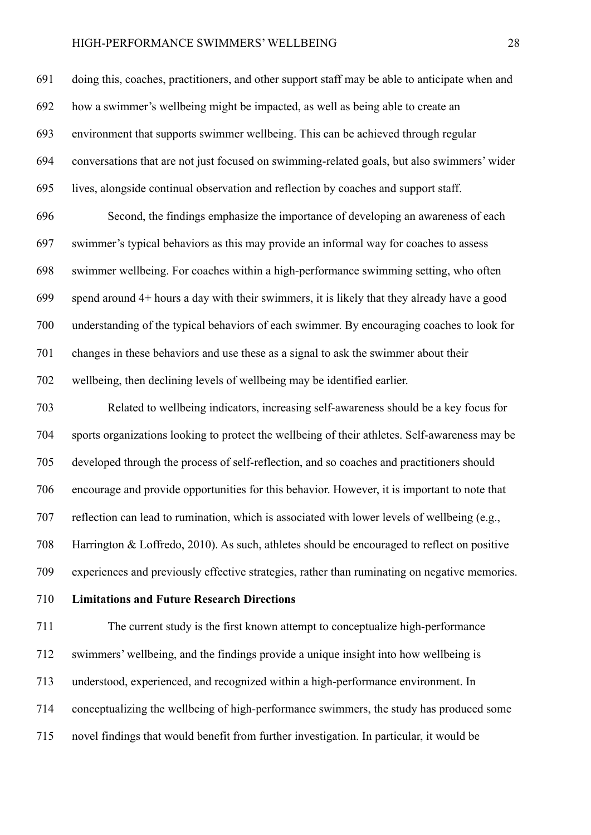doing this, coaches, practitioners, and other support staff may be able to anticipate when and how a swimmer's wellbeing might be impacted, as well as being able to create an environment that supports swimmer wellbeing. This can be achieved through regular conversations that are not just focused on swimming-related goals, but also swimmers' wider lives, alongside continual observation and reflection by coaches and support staff. Second, the findings emphasize the importance of developing an awareness of each swimmer's typical behaviors as this may provide an informal way for coaches to assess swimmer wellbeing. For coaches within a high-performance swimming setting, who often spend around 4+ hours a day with their swimmers, it is likely that they already have a good understanding of the typical behaviors of each swimmer. By encouraging coaches to look for changes in these behaviors and use these as a signal to ask the swimmer about their wellbeing, then declining levels of wellbeing may be identified earlier.

 Related to wellbeing indicators, increasing self-awareness should be a key focus for sports organizations looking to protect the wellbeing of their athletes. Self-awareness may be developed through the process of self-reflection, and so coaches and practitioners should encourage and provide opportunities for this behavior. However, it is important to note that reflection can lead to rumination, which is associated with lower levels of wellbeing (e.g., Harrington & Loffredo, 2010). As such, athletes should be encouraged to reflect on positive experiences and previously effective strategies, rather than ruminating on negative memories.

**Limitations and Future Research Directions**

 The current study is the first known attempt to conceptualize high-performance swimmers' wellbeing, and the findings provide a unique insight into how wellbeing is understood, experienced, and recognized within a high-performance environment. In conceptualizing the wellbeing of high-performance swimmers, the study has produced some novel findings that would benefit from further investigation. In particular, it would be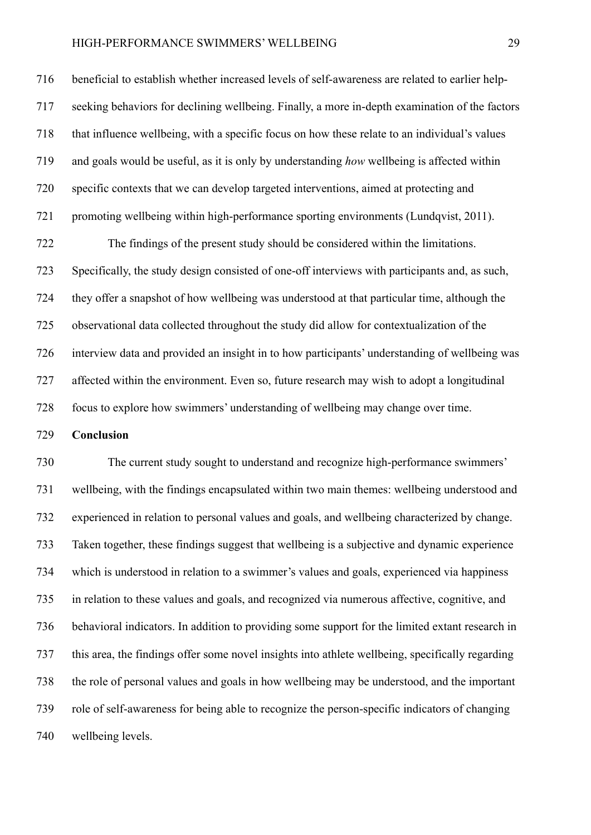beneficial to establish whether increased levels of self-awareness are related to earlier help- seeking behaviors for declining wellbeing. Finally, a more in-depth examination of the factors that influence wellbeing, with a specific focus on how these relate to an individual's values and goals would be useful, as it is only by understanding *how* wellbeing is affected within specific contexts that we can develop targeted interventions, aimed at protecting and 721 promoting wellbeing within high-performance sporting environments (Lundqvist, 2011).

 The findings of the present study should be considered within the limitations. Specifically, the study design consisted of one-off interviews with participants and, as such, they offer a snapshot of how wellbeing was understood at that particular time, although the observational data collected throughout the study did allow for contextualization of the interview data and provided an insight in to how participants' understanding of wellbeing was affected within the environment. Even so, future research may wish to adopt a longitudinal focus to explore how swimmers' understanding of wellbeing may change over time.

**Conclusion**

 The current study sought to understand and recognize high-performance swimmers' wellbeing, with the findings encapsulated within two main themes: wellbeing understood and experienced in relation to personal values and goals, and wellbeing characterized by change. Taken together, these findings suggest that wellbeing is a subjective and dynamic experience which is understood in relation to a swimmer's values and goals, experienced via happiness in relation to these values and goals, and recognized via numerous affective, cognitive, and behavioral indicators. In addition to providing some support for the limited extant research in this area, the findings offer some novel insights into athlete wellbeing, specifically regarding the role of personal values and goals in how wellbeing may be understood, and the important role of self-awareness for being able to recognize the person-specific indicators of changing wellbeing levels.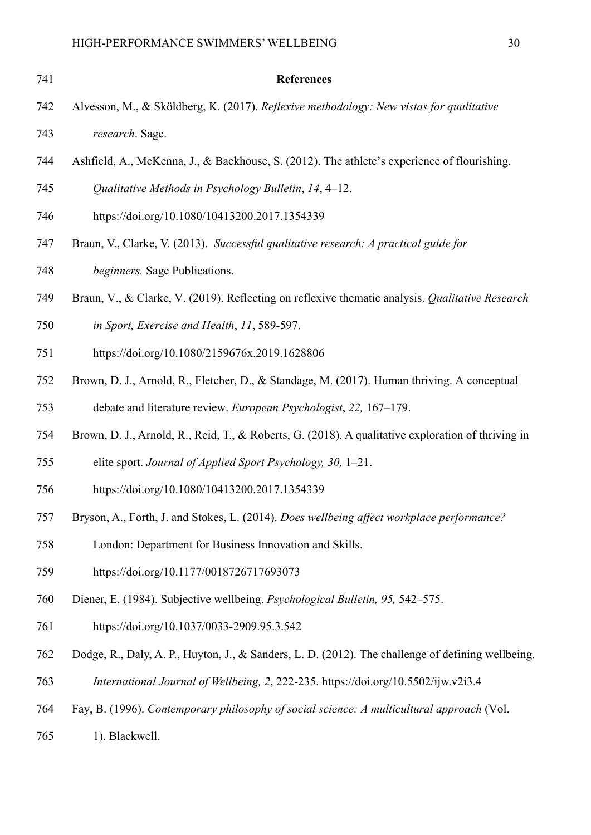| 741 | <b>References</b>                                                                                  |
|-----|----------------------------------------------------------------------------------------------------|
| 742 | Alvesson, M., & Sköldberg, K. (2017). Reflexive methodology: New vistas for qualitative            |
| 743 | research. Sage.                                                                                    |
| 744 | Ashfield, A., McKenna, J., & Backhouse, S. (2012). The athlete's experience of flourishing.        |
| 745 | Qualitative Methods in Psychology Bulletin, 14, 4–12.                                              |
| 746 | https://doi.org/10.1080/10413200.2017.1354339                                                      |
| 747 | Braun, V., Clarke, V. (2013). Successful qualitative research: A practical guide for               |
| 748 | <i>beginners.</i> Sage Publications.                                                               |
| 749 | Braun, V., & Clarke, V. (2019). Reflecting on reflexive thematic analysis. Qualitative Research    |
| 750 | in Sport, Exercise and Health, 11, 589-597.                                                        |
| 751 | https://doi.org/10.1080/2159676x.2019.1628806                                                      |
| 752 | Brown, D. J., Arnold, R., Fletcher, D., & Standage, M. (2017). Human thriving. A conceptual        |
| 753 | debate and literature review. European Psychologist, 22, 167–179.                                  |
| 754 | Brown, D. J., Arnold, R., Reid, T., & Roberts, G. (2018). A qualitative exploration of thriving in |
| 755 | elite sport. Journal of Applied Sport Psychology, 30, 1-21.                                        |
| 756 | https://doi.org/10.1080/10413200.2017.1354339                                                      |
| 757 | Bryson, A., Forth, J. and Stokes, L. (2014). Does wellbeing affect workplace performance?          |
| 758 | London: Department for Business Innovation and Skills.                                             |
| 759 | https://doi.org/10.1177/0018726717693073                                                           |
| 760 | Diener, E. (1984). Subjective wellbeing. Psychological Bulletin, 95, 542–575.                      |
| 761 | https://doi.org/10.1037/0033-2909.95.3.542                                                         |
| 762 | Dodge, R., Daly, A. P., Huyton, J., & Sanders, L. D. (2012). The challenge of defining wellbeing.  |
| 763 | International Journal of Wellbeing, 2, 222-235. https://doi.org/10.5502/ijw.v2i3.4                 |
| 764 | Fay, B. (1996). Contemporary philosophy of social science: A multicultural approach (Vol.          |
| 765 | 1). Blackwell.                                                                                     |
|     |                                                                                                    |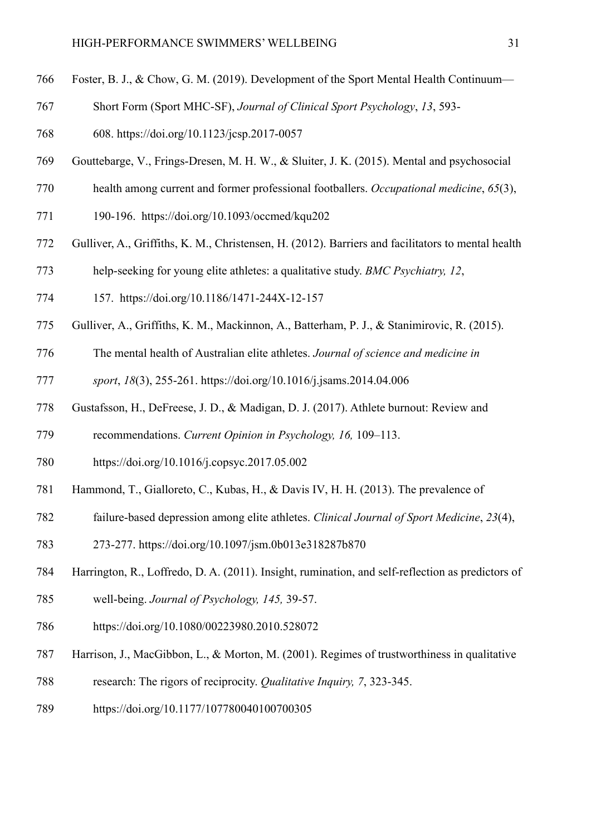- Foster, B. J., & Chow, G. M. (2019). Development of the Sport Mental Health Continuum—
- Short Form (Sport MHC-SF), *Journal of Clinical Sport Psychology*, *13*, 593-
- 608. https://doi.org/10.1123/jcsp.2017-0057
- Gouttebarge, V., Frings-Dresen, M. H. W., & Sluiter, J. K. (2015). Mental and psychosocial
- health among current and former professional footballers. *Occupational medicine*, *65*(3),
- 190-196. https://doi.org/10.1093/occmed/kqu202
- Gulliver, A., Griffiths, K. M., Christensen, H. (2012). Barriers and facilitators to mental health
- help-seeking for young elite athletes: a qualitative study. *BMC Psychiatry, 12*,
- 157. https://doi.org/10.1186/1471-244X-12-157
- Gulliver, A., Griffiths, K. M., Mackinnon, A., Batterham, P. J., & Stanimirovic, R. (2015).
- The mental health of Australian elite athletes. *Journal of science and medicine in*
- *sport*, *18*(3), 255-261. https://doi.org/10.1016/j.jsams.2014.04.006
- Gustafsson, H., DeFreese, J. D., & Madigan, D. J. (2017). Athlete burnout: Review and
- recommendations. *Current Opinion in Psychology, 16,* 109–113.
- https://doi.org/10.1016/j.copsyc.2017.05.002
- Hammond, T., Gialloreto, C., Kubas, H., & Davis IV, H. H. (2013). The prevalence of
- failure-based depression among elite athletes. *Clinical Journal of Sport Medicine*, *23*(4),
- 273-277. https://doi.org/10.1097/jsm.0b013e318287b870
- Harrington, R., Loffredo, D. A. (2011). Insight, rumination, and self-reflection as predictors of
- well-being. *Journal of Psychology, 145,* 39-57.
- https://doi.org/10.1080/00223980.2010.528072
- Harrison, J., MacGibbon, L., & Morton, M. (2001). Regimes of trustworthiness in qualitative
- research: The rigors of reciprocity. *Qualitative Inquiry, 7*, 323-345.
- https://doi.org/10.1177/107780040100700305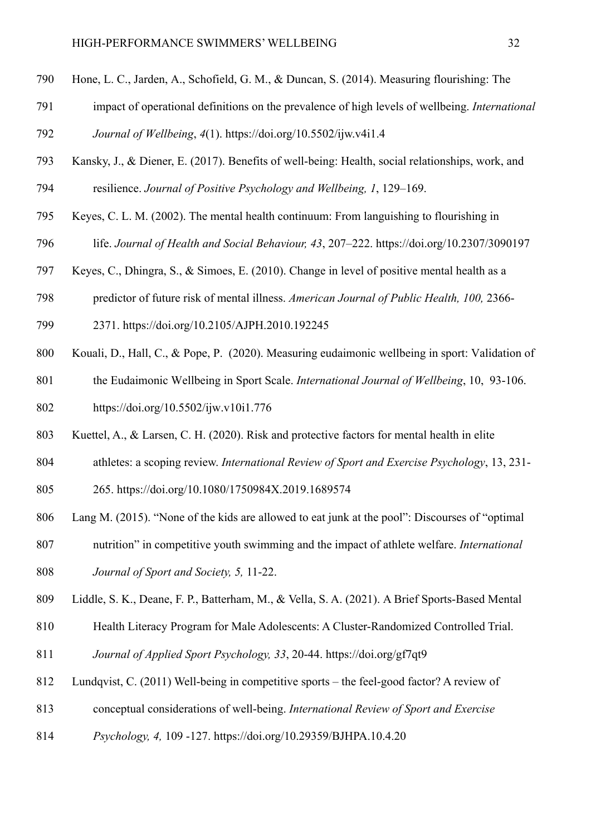- Hone, L. C., Jarden, A., Schofield, G. M., & Duncan, S. (2014). Measuring flourishing: The
- impact of operational definitions on the prevalence of high levels of wellbeing. *International*

*Journal of Wellbeing*, *4*(1). https://doi.org/10.5502/ijw.v4i1.4

- Kansky, J., & Diener, E. (2017). Benefits of well-being: Health, social relationships, work, and resilience. *Journal of Positive Psychology and Wellbeing, 1*, 129–169.
- Keyes, C. L. M. (2002). The mental health continuum: From languishing to flourishing in
- life. *Journal of Health and Social Behaviour, 43*, 207–222. https://doi.org/10.2307/3090197
- Keyes, C., Dhingra, S., & Simoes, E. (2010). Change in level of positive mental health as a
- predictor of future risk of mental illness. *American Journal of Public Health, 100,* 2366-
- 2371. https://doi.org/10.2105/AJPH.2010.192245
- Kouali, D., Hall, C., & Pope, P. (2020). Measuring eudaimonic wellbeing in sport: Validation of
- the Eudaimonic Wellbeing in Sport Scale. *International Journal of Wellbeing*, 10, 93-106.
- https://doi.org/10.5502/ijw.v10i1.776
- Kuettel, A., & Larsen, C. H. (2020). Risk and protective factors for mental health in elite
- athletes: a scoping review. *International Review of Sport and Exercise Psychology*, 13, 231-
- 265. https://doi.org/10.1080/1750984X.2019.1689574
- Lang M. (2015). "None of the kids are allowed to eat junk at the pool": Discourses of "optimal
- nutrition" in competitive youth swimming and the impact of athlete welfare. *International Journal of Sport and Society, 5,* 11-22.
- Liddle, S. K., Deane, F. P., Batterham, M., & Vella, S. A. (2021). A Brief Sports-Based Mental
- Health Literacy Program for Male Adolescents: A Cluster-Randomized Controlled Trial.
- *Journal of Applied Sport Psychology, 33*, 20-44. https://doi.org/gf7qt9
- Lundqvist, C. (2011) Well-being in competitive sports the feel-good factor? A review of
- conceptual considerations of well-being. *International Review of Sport and Exercise*
- *Psychology, 4,* 109 -127. https://doi.org/10.29359/BJHPA.10.4.20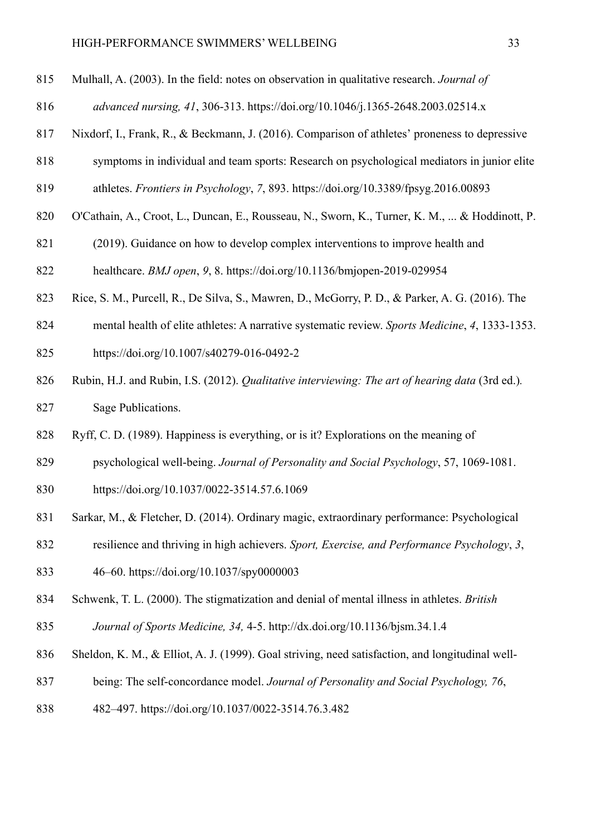- Mulhall, A. (2003). In the field: notes on observation in qualitative research. *Journal of*
- *advanced nursing, 41*, 306-313. https://doi.org/10.1046/j.1365-2648.2003.02514.x
- Nixdorf, I., Frank, R., & Beckmann, J. (2016). Comparison of athletes' proneness to depressive
- symptoms in individual and team sports: Research on psychological mediators in junior elite
- athletes. *Frontiers in Psychology*, *7*, 893. https://doi.org/10.3389/fpsyg.2016.00893
- O'Cathain, A., Croot, L., Duncan, E., Rousseau, N., Sworn, K., Turner, K. M., ... & Hoddinott, P.
- (2019). Guidance on how to develop complex interventions to improve health and

healthcare. *BMJ open*, *9*, 8. https://doi.org/10.1136/bmjopen-2019-029954

- Rice, S. M., Purcell, R., De Silva, S., Mawren, D., McGorry, P. D., & Parker, A. G. (2016). The
- mental health of elite athletes: A narrative systematic review. *Sports Medicine*, *4*, 1333-1353.
- https://doi.org/10.1007/s40279-016-0492-2
- Rubin, H.J. and Rubin, I.S. (2012). *Qualitative interviewing: The art of hearing data* (3rd ed.)*.* Sage Publications.
- Ryff, C. D. (1989). Happiness is everything, or is it? Explorations on the meaning of
- psychological well-being. *Journal of Personality and Social Psychology*, 57, 1069-1081.
- https://doi.org/10.1037/0022-3514.57.6.1069
- Sarkar, M., & Fletcher, D. (2014). Ordinary magic, extraordinary performance: Psychological
- resilience and thriving in high achievers. *Sport, Exercise, and Performance Psychology*, *3*,
- 46–60. https://doi.org/10.1037/spy0000003
- Schwenk, T. L. (2000). The stigmatization and denial of mental illness in athletes. *British*
- *Journal of Sports Medicine, 34,* 4-5. http://dx.doi.org/10.1136/bjsm.34.1.4
- Sheldon, K. M., & Elliot, A. J. (1999). Goal striving, need satisfaction, and longitudinal well-
- being: The self-concordance model. *Journal of Personality and Social Psychology, 76*,
- 482–497. https://doi.org/10.1037/0022-3514.76.3.482